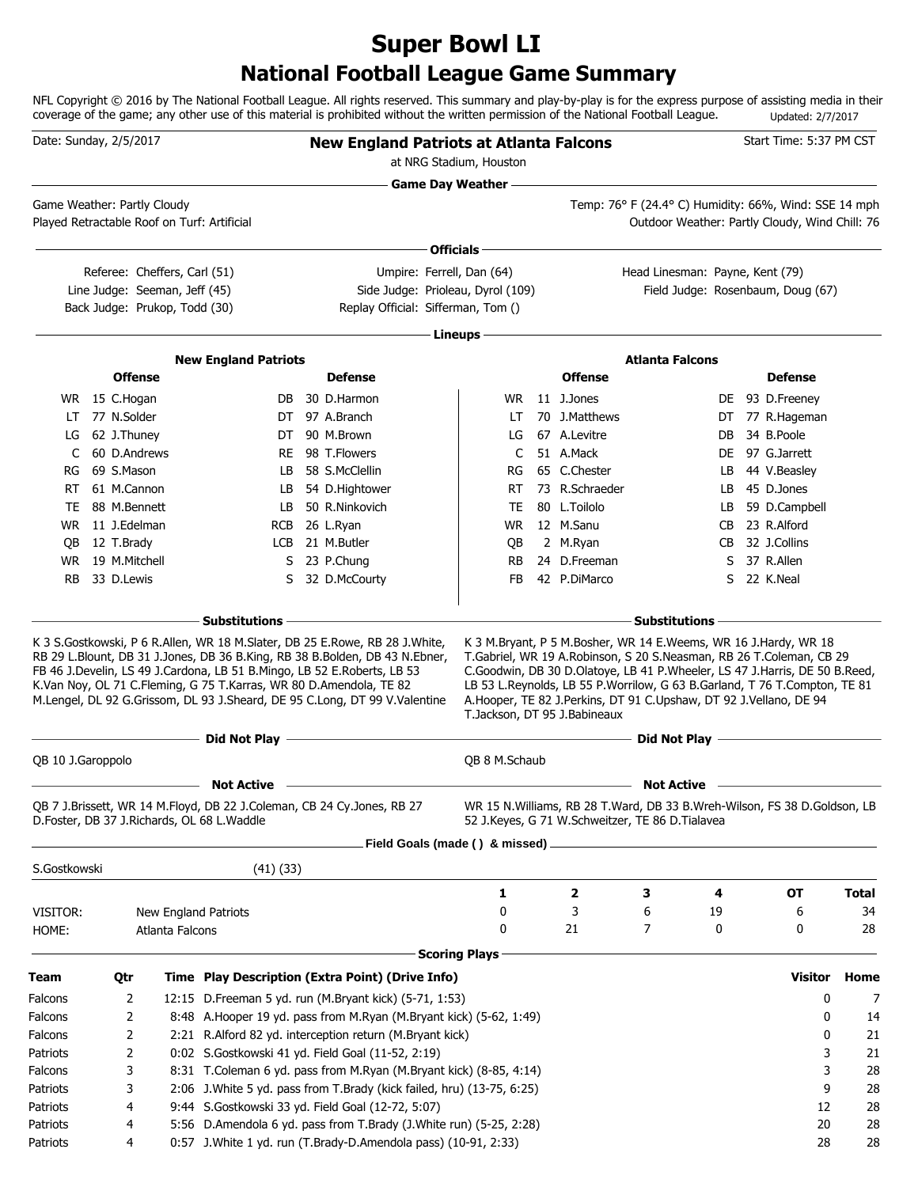# **National Football League Game Summary Super Bowl LI**

NFL Copyright © 2016 by The National Football League. All rights reserved. This summary and play-by-play is for the express purpose of assisting media in their coverage of the game; any other use of this material is prohibited without the written permission of the National Football League. Updated: 2/7/2017

|                                                                                                  | Date: Sunday, 2/5/2017        |                 |                                                                                                                      | <b>New England Patriots at Atlanta Falcons</b>                                                                          | at NRG Stadium, Houston           |                              |                                                                                                                                                |     | Start Time: 5:37 PM CST                    |              |
|--------------------------------------------------------------------------------------------------|-------------------------------|-----------------|----------------------------------------------------------------------------------------------------------------------|-------------------------------------------------------------------------------------------------------------------------|-----------------------------------|------------------------------|------------------------------------------------------------------------------------------------------------------------------------------------|-----|--------------------------------------------|--------------|
| Game Weather: Partly Cloudy<br>Played Retractable Roof on Turf: Artificial                       |                               |                 |                                                                                                                      |                                                                                                                         | <b>Game Day Weather --</b>        |                              | Temp: 76° F (24.4° C) Humidity: 66%, Wind: SSE 14 mph<br>Outdoor Weather: Partly Cloudy, Wind Chill: 76                                        |     |                                            |              |
|                                                                                                  |                               |                 |                                                                                                                      |                                                                                                                         | Officials -                       |                              |                                                                                                                                                |     |                                            |              |
|                                                                                                  | Referee: Cheffers, Carl (51)  |                 |                                                                                                                      |                                                                                                                         | Umpire: Ferrell, Dan (64)         |                              | Head Linesman: Payne, Kent (79)                                                                                                                |     |                                            |              |
|                                                                                                  | Line Judge: Seeman, Jeff (45) |                 |                                                                                                                      |                                                                                                                         | Side Judge: Prioleau, Dyrol (109) |                              |                                                                                                                                                |     | Field Judge: Rosenbaum, Doug (67)          |              |
|                                                                                                  | Back Judge: Prukop, Todd (30) |                 |                                                                                                                      | Replay Official: Sifferman, Tom ()                                                                                      |                                   |                              |                                                                                                                                                |     |                                            |              |
|                                                                                                  |                               |                 |                                                                                                                      |                                                                                                                         | Lineups                           |                              |                                                                                                                                                |     |                                            |              |
|                                                                                                  |                               |                 | <b>New England Patriots</b>                                                                                          |                                                                                                                         |                                   |                              | <b>Atlanta Falcons</b>                                                                                                                         |     |                                            |              |
|                                                                                                  | <b>Offense</b>                |                 |                                                                                                                      | <b>Defense</b>                                                                                                          |                                   | <b>Offense</b>               |                                                                                                                                                |     | <b>Defense</b>                             |              |
|                                                                                                  | WR 15 C.Hogan                 |                 | DB                                                                                                                   | 30 D.Harmon                                                                                                             | <b>WR</b>                         | 11 J.Jones                   |                                                                                                                                                |     | DE 93 D.Freeney                            |              |
| LT.                                                                                              | 77 N.Solder                   |                 |                                                                                                                      | DT 97 A.Branch                                                                                                          | LT                                | 70 J.Matthews                |                                                                                                                                                |     | DT 77 R.Hageman                            |              |
|                                                                                                  | LG 62 J.Thuney                |                 | DT                                                                                                                   | 90 M.Brown                                                                                                              | LG                                | 67 A.Levitre                 |                                                                                                                                                | DB  | 34 B.Poole                                 |              |
| C                                                                                                | 60 D.Andrews                  |                 | RE.                                                                                                                  | 98 T.Flowers                                                                                                            | C                                 | 51 A.Mack                    |                                                                                                                                                | DE. | 97 G.Jarrett                               |              |
| RG                                                                                               | 69 S.Mason                    |                 | LB                                                                                                                   | 58 S.McClellin                                                                                                          | RG                                | 65 C.Chester                 |                                                                                                                                                | LB. | 44 V.Beasley                               |              |
| RT.                                                                                              | 61 M.Cannon                   |                 | LB                                                                                                                   | 54 D.Hightower                                                                                                          | RT                                | 73 R.Schraeder               |                                                                                                                                                | LB  | 45 D.Jones                                 |              |
| TE                                                                                               | 88 M.Bennett                  |                 | LB                                                                                                                   | 50 R.Ninkovich                                                                                                          | <b>TE</b>                         | 80 L.Toilolo                 |                                                                                                                                                | LB  | 59 D.Campbell                              |              |
|                                                                                                  | WR 11 J.Edelman               |                 |                                                                                                                      | RCB 26 L.Ryan                                                                                                           | WR.                               | 12 M.Sanu                    |                                                                                                                                                | CB  | 23 R.Alford                                |              |
| QB.                                                                                              | 12 T.Brady                    |                 |                                                                                                                      | LCB 21 M.Butler                                                                                                         | QB                                | 2 M.Ryan                     |                                                                                                                                                | CB. | 32 J.Collins                               |              |
| <b>WR</b>                                                                                        | 19 M.Mitchell                 |                 |                                                                                                                      | S 23 P.Chung                                                                                                            | RB                                | 24 D.Freeman                 |                                                                                                                                                | S   | 37 R.Allen                                 |              |
| <b>RB</b>                                                                                        | 33 D.Lewis                    |                 | S                                                                                                                    | 32 D.McCourty                                                                                                           | <b>FB</b>                         | 42 P.DiMarco                 |                                                                                                                                                |     | S 22 K.Neal                                |              |
|                                                                                                  |                               |                 | K.Van Noy, OL 71 C.Fleming, G 75 T.Karras, WR 80 D.Amendola, TE 82                                                   | M.Lengel, DL 92 G.Grissom, DL 93 J.Sheard, DE 95 C.Long, DT 99 V.Valentine                                              |                                   | T.Jackson, DT 95 J.Babineaux | LB 53 L.Reynolds, LB 55 P.Worrilow, G 63 B.Garland, T 76 T.Compton, TE 81<br>A.Hooper, TE 82 J.Perkins, DT 91 C.Upshaw, DT 92 J.Vellano, DE 94 |     |                                            |              |
|                                                                                                  |                               |                 | Did Not Play -                                                                                                       |                                                                                                                         |                                   |                              |                                                                                                                                                |     |                                            |              |
| QB 10 J.Garoppolo                                                                                |                               |                 |                                                                                                                      |                                                                                                                         |                                   |                              |                                                                                                                                                |     | Did Not Play <u>______________________</u> |              |
|                                                                                                  |                               |                 |                                                                                                                      |                                                                                                                         | QB 8 M.Schaub                     |                              |                                                                                                                                                |     |                                            |              |
|                                                                                                  |                               |                 | <b>Not Active</b>                                                                                                    |                                                                                                                         |                                   |                              | <b>Not Active</b>                                                                                                                              |     |                                            |              |
|                                                                                                  |                               |                 | QB 7 J.Brissett, WR 14 M.Floyd, DB 22 J.Coleman, CB 24 Cy.Jones, RB 27<br>D.Foster, DB 37 J.Richards, OL 68 L.Waddle |                                                                                                                         |                                   |                              | WR 15 N. Williams, RB 28 T. Ward, DB 33 B. Wreh-Wilson, FS 38 D. Goldson, LB<br>52 J.Keyes, G 71 W.Schweitzer, TE 86 D.Tialavea                |     |                                            |              |
|                                                                                                  |                               |                 |                                                                                                                      |                                                                                                                         | Field Goals (made () & missed) _  |                              |                                                                                                                                                |     |                                            |              |
| S.Gostkowski                                                                                     |                               |                 | $(41)$ $(33)$                                                                                                        |                                                                                                                         |                                   |                              |                                                                                                                                                |     |                                            |              |
|                                                                                                  |                               |                 |                                                                                                                      |                                                                                                                         | 1                                 | $\mathbf{2}$                 | 3                                                                                                                                              | 4   | ОТ                                         | <b>Total</b> |
| VISITOR:                                                                                         |                               |                 | New England Patriots                                                                                                 |                                                                                                                         | 0                                 | 3                            | 6                                                                                                                                              | 19  | 6                                          | 34           |
| HOME:                                                                                            |                               | Atlanta Falcons |                                                                                                                      |                                                                                                                         | 0                                 | 21                           | 7                                                                                                                                              | 0   | 0                                          | 28           |
|                                                                                                  |                               |                 |                                                                                                                      |                                                                                                                         |                                   |                              |                                                                                                                                                |     |                                            |              |
|                                                                                                  |                               |                 |                                                                                                                      |                                                                                                                         | <b>Scoring Plays</b>              |                              |                                                                                                                                                |     |                                            |              |
|                                                                                                  | Qtr                           |                 |                                                                                                                      | Time Play Description (Extra Point) (Drive Info)                                                                        |                                   |                              |                                                                                                                                                |     | <b>Visitor</b>                             |              |
|                                                                                                  | 2                             |                 |                                                                                                                      | 12:15 D. Freeman 5 yd. run (M. Bryant kick) (5-71, 1:53)                                                                |                                   |                              |                                                                                                                                                |     | 0                                          | Home<br>7    |
|                                                                                                  | 2                             |                 |                                                                                                                      | 8:48 A. Hooper 19 yd. pass from M. Ryan (M. Bryant kick) (5-62, 1:49)                                                   |                                   |                              |                                                                                                                                                |     | 0                                          | 14           |
|                                                                                                  | 2                             |                 |                                                                                                                      | 2:21 R.Alford 82 yd. interception return (M.Bryant kick)                                                                |                                   |                              |                                                                                                                                                |     | 0                                          | 21           |
|                                                                                                  | 2                             |                 |                                                                                                                      | 0:02 S.Gostkowski 41 yd. Field Goal (11-52, 2:19)                                                                       |                                   |                              |                                                                                                                                                |     | 3                                          | 21           |
|                                                                                                  | 3                             |                 |                                                                                                                      | 8:31 T.Coleman 6 yd. pass from M.Ryan (M.Bryant kick) (8-85, 4:14)                                                      |                                   |                              |                                                                                                                                                |     | 3                                          | 28           |
|                                                                                                  | 3                             |                 |                                                                                                                      | 2:06 J. White 5 yd. pass from T. Brady (kick failed, hru) (13-75, 6:25)                                                 |                                   |                              |                                                                                                                                                |     | 9                                          | 28           |
| Team<br>Falcons<br>Falcons<br>Falcons<br>Patriots<br>Falcons<br>Patriots<br>Patriots<br>Patriots | 4<br>4                        |                 |                                                                                                                      | 9:44 S.Gostkowski 33 yd. Field Goal (12-72, 5:07)<br>5:56 D.Amendola 6 yd. pass from T.Brady (J.White run) (5-25, 2:28) |                                   |                              |                                                                                                                                                |     | 12<br>20                                   | 28<br>28     |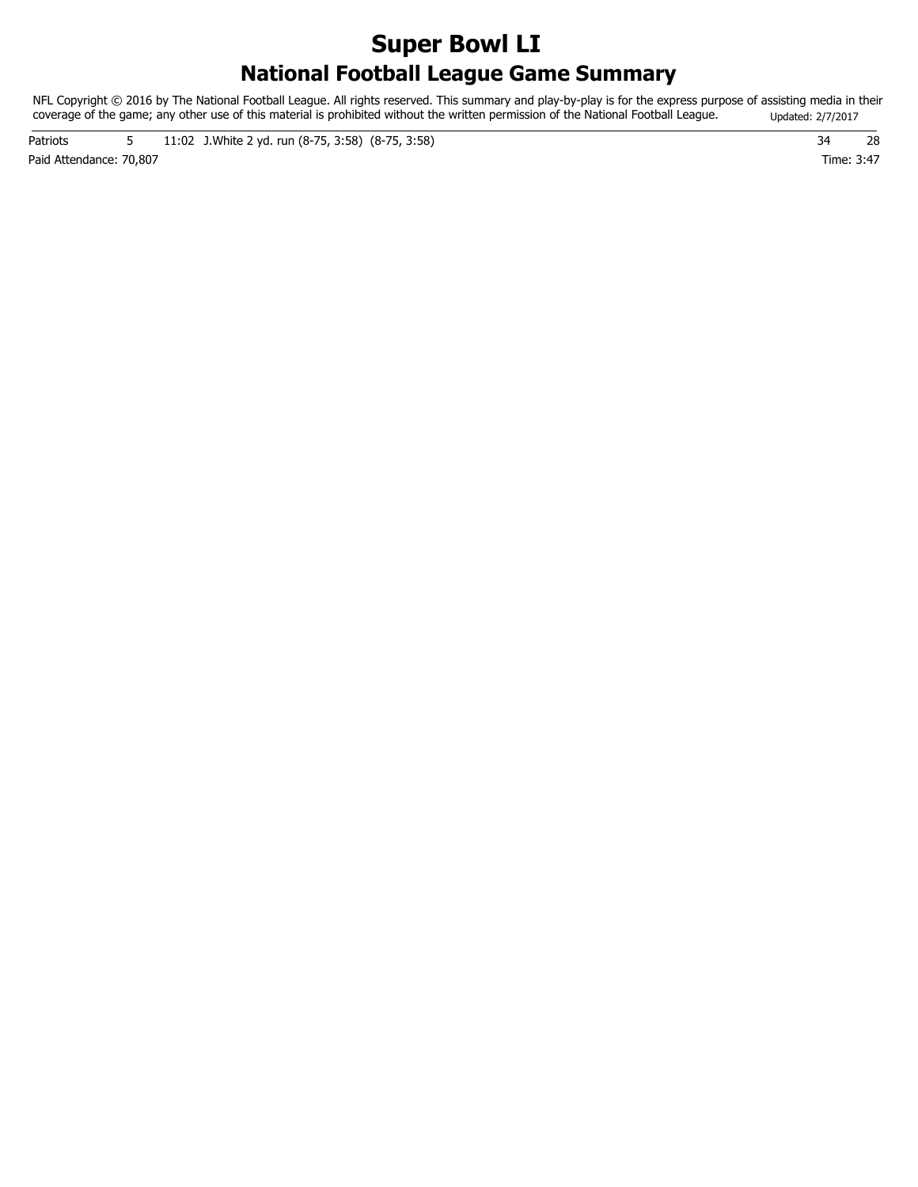# **National Football League Game Summary Super Bowl LI**

NFL Copyright © 2016 by The National Football League. All rights reserved. This summary and play-by-play is for the express purpose of assisting media in their coverage of the game; any other use of this material is prohibited without the written permission of the National Football League. Updated: 2/7/2017

Paid Attendance: 70,807 Time: 3:47 Patriots 5 11:02 J. White 2 yd. run (8-75, 3:58) (8-75, 3:58) 34 28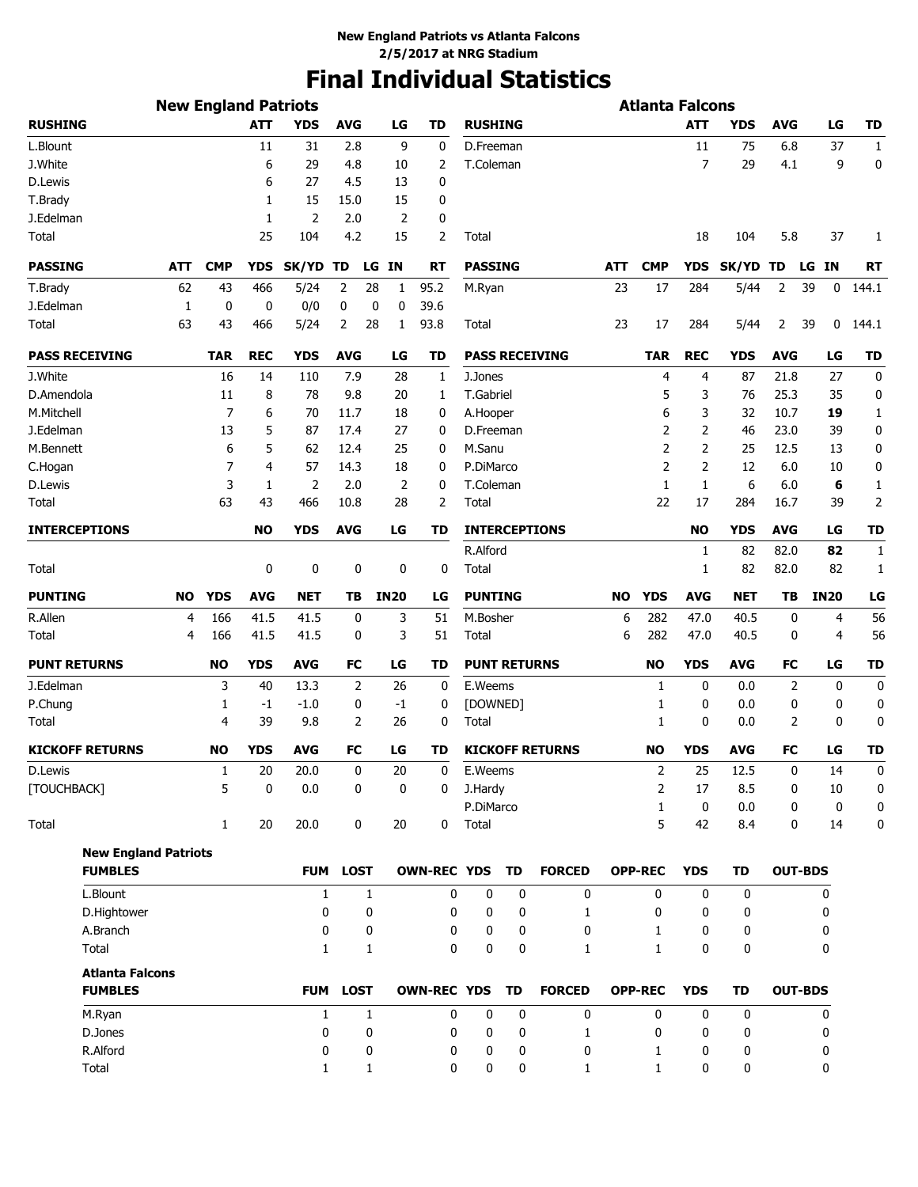# **Final Individual Statistics**

|                             | <b>New England Patriots</b> |              |                |                |              | <b>Atlanta Falcons</b> |                    |                     |    |                        |     |                |                |             |            |                |                |
|-----------------------------|-----------------------------|--------------|----------------|----------------|--------------|------------------------|--------------------|---------------------|----|------------------------|-----|----------------|----------------|-------------|------------|----------------|----------------|
| <b>RUSHING</b>              |                             |              | <b>ATT</b>     | <b>YDS</b>     | <b>AVG</b>   | LG                     | TD                 | <b>RUSHING</b>      |    |                        |     |                | <b>ATT</b>     | <b>YDS</b>  | <b>AVG</b> | LG             | TD             |
| L.Blount                    |                             |              | 11             | 31             | 2.8          | 9                      | 0                  | D.Freeman           |    |                        |     |                | 11             | 75          | 6.8        | 37             | $\mathbf{1}$   |
| J.White                     |                             |              | 6              | 29             | 4.8          | 10                     | 2                  | T.Coleman           |    |                        |     |                | $\overline{7}$ | 29          | 4.1        | 9              | 0              |
| D.Lewis                     |                             |              | 6              | 27             | 4.5          | 13                     | 0                  |                     |    |                        |     |                |                |             |            |                |                |
| T.Brady                     |                             |              | 1              | 15             | 15.0         | 15                     | 0                  |                     |    |                        |     |                |                |             |            |                |                |
| J.Edelman                   |                             |              | 1              | $\overline{2}$ | 2.0          | 2                      | 0                  |                     |    |                        |     |                |                |             |            |                |                |
| Total                       |                             |              | 25             | 104            | 4.2          | 15                     | 2                  | Total               |    |                        |     |                | 18             | 104         | 5.8        | 37             | 1              |
| <b>PASSING</b>              | ATT                         | <b>CMP</b>   | <b>YDS</b>     | SK/YD TD       |              | LG IN                  | RT                 | <b>PASSING</b>      |    |                        | ATT | <b>CMP</b>     | <b>YDS</b>     | SK/YD TD    |            | LG IN          | RT             |
| T.Brady                     | 62                          | 43           | 466            | 5/24           | 2            | 28<br>1                | 95.2               | M.Ryan              |    |                        | 23  | 17             | 284            | 5/44        | 2          | 39<br>0        | 144.1          |
| J.Edelman                   | 1                           | 0            | 0              | 0/0            | 0            | 0<br>0                 | 39.6               |                     |    |                        |     |                |                |             |            |                |                |
| Total                       | 63                          | 43           | 466            | 5/24           | 2            | 28<br>1                | 93.8               | Total               |    |                        | 23  | 17             | 284            | 5/44        | 2          | 39<br>0        | 144.1          |
| <b>PASS RECEIVING</b>       |                             | <b>TAR</b>   | <b>REC</b>     | <b>YDS</b>     | <b>AVG</b>   | LG                     | TD                 |                     |    | <b>PASS RECEIVING</b>  |     | <b>TAR</b>     | <b>REC</b>     | <b>YDS</b>  | <b>AVG</b> | LG             | <b>TD</b>      |
| J.White                     |                             | 16           | 14             | 110            | 7.9          | 28                     | 1                  | J.Jones             |    |                        |     | 4              | 4              | 87          | 21.8       | 27             | 0              |
| D.Amendola                  |                             | 11           | 8              | 78             | 9.8          | 20                     | 1                  | T.Gabriel           |    |                        |     | 5              | 3              | 76          | 25.3       | 35             | 0              |
| M.Mitchell                  |                             | 7            | 6              | 70             | 11.7         | 18                     | 0                  | A.Hooper            |    |                        |     | 6              | 3              | 32          | 10.7       | 19             | 1              |
| J.Edelman                   |                             | 13           | 5              | 87             | 17.4         | 27                     | 0                  | D.Freeman           |    |                        |     | 2              | 2              | 46          | 23.0       | 39             | 0              |
| M.Bennett                   |                             | 6            | 5              | 62             | 12.4         | 25                     | 0                  | M.Sanu              |    |                        |     | $\overline{2}$ | 2              | 25          | 12.5       | 13             | 0              |
| C.Hogan                     |                             | 7            | $\overline{4}$ | 57             | 14.3         | 18                     | 0                  | P.DiMarco           |    |                        |     | $\overline{2}$ | $\overline{2}$ | 12          | 6.0        | 10             | 0              |
| D.Lewis                     |                             | 3            | 1              | 2              | 2.0          | $\overline{2}$         | 0                  | T.Coleman           |    |                        |     | 1              | $\mathbf{1}$   | 6           | 6.0        | 6              | $\mathbf{1}$   |
| Total                       |                             | 63           | 43             | 466            | 10.8         | 28                     | 2                  | Total               |    |                        |     | 22             | 17             | 284         | 16.7       | 39             | $\overline{2}$ |
| <b>INTERCEPTIONS</b>        |                             |              | <b>NO</b>      | <b>YDS</b>     | <b>AVG</b>   | LG                     | TD                 |                     |    | <b>INTERCEPTIONS</b>   |     |                | <b>NO</b>      | <b>YDS</b>  | <b>AVG</b> | LG             | <b>TD</b>      |
|                             |                             |              |                |                |              |                        |                    | R.Alford            |    |                        |     |                | 1              | 82          | 82.0       | 82             | 1              |
| Total                       |                             |              | 0              | 0              | 0            | 0                      | 0                  | Total               |    |                        |     |                | 1              | 82          | 82.0       | 82             | 1              |
| <b>PUNTING</b>              | NO                          | <b>YDS</b>   | <b>AVG</b>     | <b>NET</b>     | ΤВ           | <b>IN20</b>            | LG                 | <b>PUNTING</b>      |    |                        | NO  | <b>YDS</b>     | <b>AVG</b>     | <b>NET</b>  | ΤВ         | <b>IN20</b>    | LG             |
| R.Allen                     | 4                           | 166          | 41.5           | 41.5           | 0            | 3                      | 51                 | M.Bosher            |    |                        | 6   | 282            | 47.0           | 40.5        | 0          | 4              | 56             |
| Total                       | 4                           | 166          | 41.5           | 41.5           | 0            | 3                      | 51                 | Total               |    |                        | 6   | 282            | 47.0           | 40.5        | 0          | 4              | 56             |
| <b>PUNT RETURNS</b>         |                             | NO           | <b>YDS</b>     | <b>AVG</b>     | <b>FC</b>    | LG                     | TD                 | <b>PUNT RETURNS</b> |    |                        |     | <b>NO</b>      | <b>YDS</b>     | <b>AVG</b>  | FC         | LG             | <b>TD</b>      |
| J.Edelman                   |                             | 3            | 40             | 13.3           | 2            | 26                     | 0                  | E.Weems             |    |                        |     | 1              | 0              | 0.0         | 2          | 0              | $\mathbf 0$    |
| P.Chung                     |                             | 1            | -1             | $-1.0$         | 0            | -1                     | 0                  | [DOWNED]            |    |                        |     | 1              | 0              | 0.0         | 0          | $\mathbf 0$    | 0              |
| Total                       |                             | 4            | 39             | 9.8            | 2            | 26                     | 0                  | Total               |    |                        |     | $\mathbf{1}$   | 0              | 0.0         | 2          | $\mathbf 0$    | 0              |
| <b>KICKOFF RETURNS</b>      |                             | NO           | <b>YDS</b>     | <b>AVG</b>     | <b>FC</b>    | LG                     | TD                 |                     |    | <b>KICKOFF RETURNS</b> |     | <b>NO</b>      | <b>YDS</b>     | <b>AVG</b>  | FC         | LG             | <b>TD</b>      |
| D.Lewis                     |                             | $\mathbf{1}$ | 20             | 20.0           | 0            | $20\,$                 | $\boldsymbol{0}$   | E.Weems             |    |                        |     | $\overline{2}$ | 25             | 12.5        | 0          | 14             | 0              |
| [TOUCHBACK]                 |                             | 5            | 0              | 0.0            | 0            | 0                      | 0                  | J.Hardy             |    |                        |     | 2              | 17             | 8.5         | 0          | 10             | 0              |
|                             |                             |              |                |                |              |                        |                    | P.DiMarco           |    |                        |     | $\mathbf{1}$   | $\mathbf 0$    | 0.0         | 0          | 0              | 0              |
| Total                       |                             | $\mathbf{1}$ | 20             | 20.0           | 0            | 20                     | 0                  | Total               |    |                        |     | 5              | 42             | 8.4         | 0          | 14             | 0              |
| <b>New England Patriots</b> |                             |              |                |                |              |                        |                    |                     |    |                        |     |                |                |             |            |                |                |
| <b>FUMBLES</b>              |                             |              |                |                | FUM LOST     |                        | <b>OWN-REC YDS</b> |                     | TD | <b>FORCED</b>          |     | <b>OPP-REC</b> | <b>YDS</b>     | <b>TD</b>   |            | <b>OUT-BDS</b> |                |
| L.Blount                    |                             |              |                | $\mathbf{1}$   | $\mathbf{1}$ |                        | 0                  | $\mathbf 0$         | 0  | 0                      |     | 0              | 0              | 0           |            | 0              |                |
| D.Hightower                 |                             |              |                | 0              | 0            |                        | 0                  | 0                   | 0  | 1                      |     | 0              | 0              | 0           |            | 0              |                |
| A.Branch                    |                             |              |                | 0              | 0            |                        | 0                  | 0                   | 0  | 0                      |     | 1              | 0              | 0           |            | 0              |                |
| Total                       |                             |              |                | $\mathbf{1}$   | 1            |                        | 0                  | 0                   | 0  | 1                      |     | $\mathbf{1}$   | 0              | 0           |            | 0              |                |
| <b>Atlanta Falcons</b>      |                             |              |                |                |              |                        |                    |                     |    |                        |     |                |                |             |            |                |                |
| <b>FUMBLES</b>              |                             |              |                |                | FUM LOST     |                        | <b>OWN-REC YDS</b> |                     | TD | <b>FORCED</b>          |     | <b>OPP-REC</b> | <b>YDS</b>     | TD          |            | <b>OUT-BDS</b> |                |
| M.Ryan                      |                             |              |                | $\mathbf{1}$   | $\mathbf{1}$ |                        | 0                  | 0                   | 0  | 0                      |     | 0              | 0              | $\mathbf 0$ |            | 0              |                |
| D.Jones                     |                             |              |                | 0              | 0            |                        | 0                  | 0                   | 0  | 1                      |     | 0              | 0              | 0           |            | 0              |                |
| R.Alford                    |                             |              |                | 0              | 0            |                        | 0                  | 0                   | 0  | 0                      |     | 1              | 0              | 0           |            | 0              |                |
| Total                       |                             |              |                | 1              | 1            |                        | 0                  | 0                   | 0  | 1                      |     | $\mathbf{1}$   | 0              | 0           |            | 0              |                |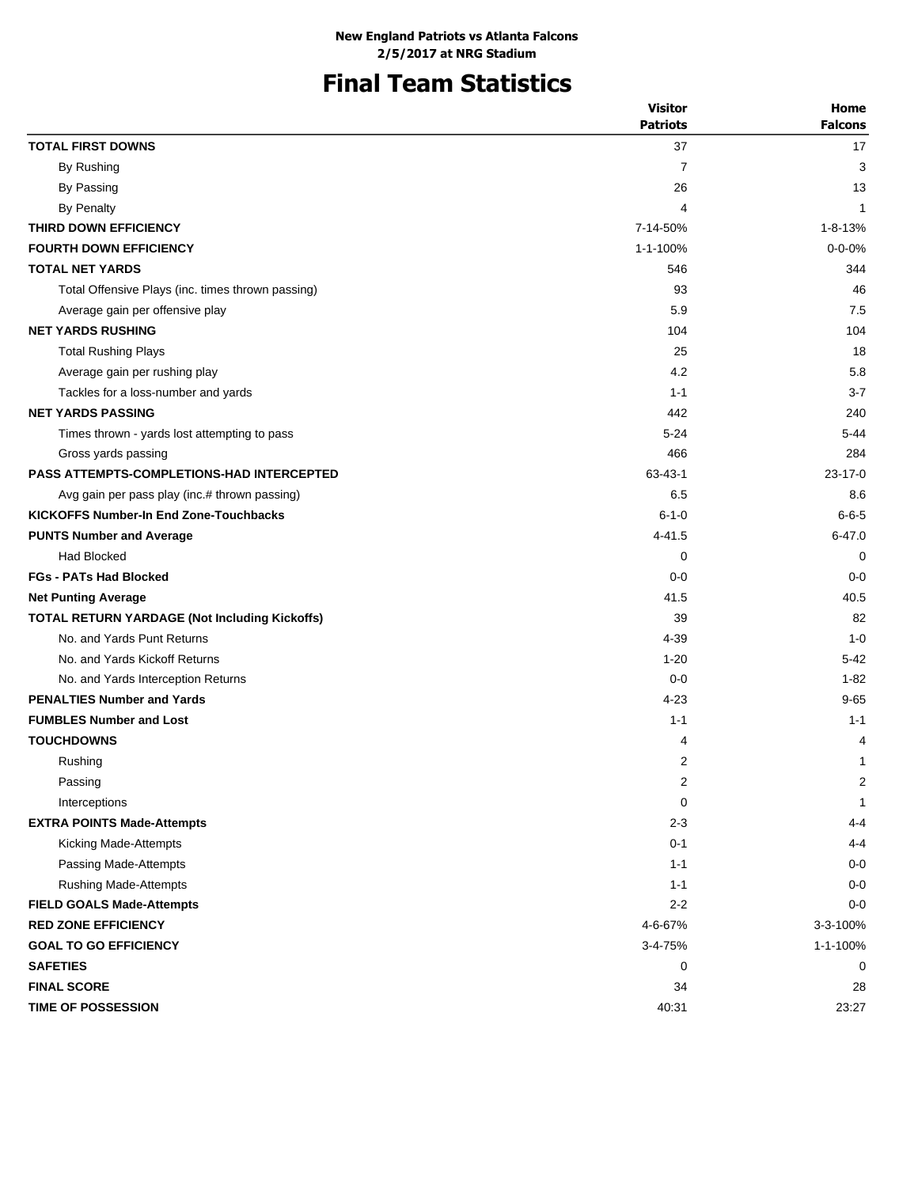# **Final Team Statistics**

|                                                      | <b>Visitor</b>  | Home           |
|------------------------------------------------------|-----------------|----------------|
|                                                      | <b>Patriots</b> | <b>Falcons</b> |
| <b>TOTAL FIRST DOWNS</b>                             | 37              | 17             |
| By Rushing                                           | $\overline{7}$  | 3              |
| By Passing                                           | 26              | 13             |
| By Penalty                                           | 4               | $\mathbf{1}$   |
| THIRD DOWN EFFICIENCY                                | 7-14-50%        | $1 - 8 - 13%$  |
| <b>FOURTH DOWN EFFICIENCY</b>                        | 1-1-100%        | $0 - 0 - 0%$   |
| <b>TOTAL NET YARDS</b>                               | 546             | 344            |
| Total Offensive Plays (inc. times thrown passing)    | 93              | 46             |
| Average gain per offensive play                      | 5.9             | 7.5            |
| <b>NET YARDS RUSHING</b>                             | 104             | 104            |
| <b>Total Rushing Plays</b>                           | 25              | 18             |
| Average gain per rushing play                        | 4.2             | 5.8            |
| Tackles for a loss-number and yards                  | $1 - 1$         | $3 - 7$        |
| <b>NET YARDS PASSING</b>                             | 442             | 240            |
| Times thrown - yards lost attempting to pass         | $5 - 24$        | $5 - 44$       |
| Gross yards passing                                  | 466             | 284            |
| <b>PASS ATTEMPTS-COMPLETIONS-HAD INTERCEPTED</b>     | $63 - 43 - 1$   | $23 - 17 - 0$  |
| Avg gain per pass play (inc.# thrown passing)        | 6.5             | 8.6            |
| <b>KICKOFFS Number-In End Zone-Touchbacks</b>        | $6 - 1 - 0$     | $6 - 6 - 5$    |
| <b>PUNTS Number and Average</b>                      | 4-41.5          | $6 - 47.0$     |
| <b>Had Blocked</b>                                   | 0               | 0              |
| <b>FGs - PATs Had Blocked</b>                        | $0 - 0$         | $0 - 0$        |
| <b>Net Punting Average</b>                           | 41.5            | 40.5           |
| <b>TOTAL RETURN YARDAGE (Not Including Kickoffs)</b> | 39              | 82             |
| No. and Yards Punt Returns                           | 4-39            | $1 - 0$        |
| No. and Yards Kickoff Returns                        | $1 - 20$        | $5 - 42$       |
| No. and Yards Interception Returns                   | $0 - 0$         | $1 - 82$       |
| <b>PENALTIES Number and Yards</b>                    | $4 - 23$        | $9 - 65$       |
| <b>FUMBLES Number and Lost</b>                       | $1 - 1$         | $1 - 1$        |
| <b>TOUCHDOWNS</b>                                    | 4               | 4              |
| Rushing                                              | 2               | 1              |
| Passing                                              | 2               | 2              |
| Interceptions                                        | $\mathbf 0$     | 1              |
| <b>EXTRA POINTS Made-Attempts</b>                    | $2 - 3$         | $4 - 4$        |
| Kicking Made-Attempts                                | $0 - 1$         | $4 - 4$        |
| Passing Made-Attempts                                | $1 - 1$         | $0-0$          |
| <b>Rushing Made-Attempts</b>                         | $1 - 1$         | $0-0$          |
| <b>FIELD GOALS Made-Attempts</b>                     | $2 - 2$         | $0 - 0$        |
| <b>RED ZONE EFFICIENCY</b>                           | 4-6-67%         | 3-3-100%       |
| <b>GOAL TO GO EFFICIENCY</b>                         | 3-4-75%         | 1-1-100%       |
| <b>SAFETIES</b>                                      | 0               | 0              |
| <b>FINAL SCORE</b>                                   | 34              |                |
|                                                      |                 | 28             |
| <b>TIME OF POSSESSION</b>                            | 40:31           | 23:27          |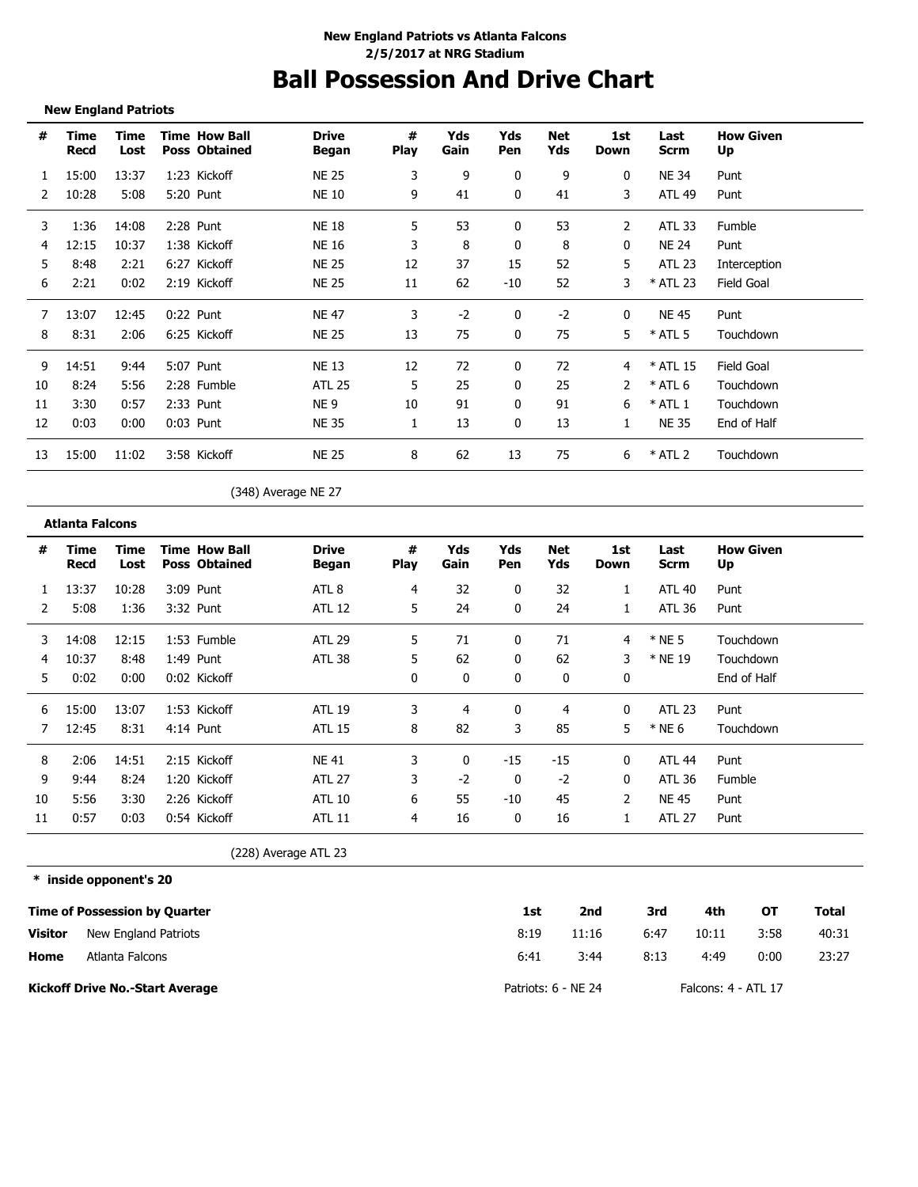# **Ball Possession And Drive Chart**

**New England Patriots**

| #  | Time<br>Recd | Time<br>Lost | <b>Time How Ball</b><br><b>Poss Obtained</b> | <b>Drive</b><br>Began | #<br><b>Play</b> | Yds<br>Gain | Yds<br>Pen | Net<br>Yds | 1st<br>Down | Last<br><b>Scrm</b> | <b>How Given</b><br>Up |
|----|--------------|--------------|----------------------------------------------|-----------------------|------------------|-------------|------------|------------|-------------|---------------------|------------------------|
|    | 15:00        | 13:37        | 1:23 Kickoff                                 | <b>NE 25</b>          | 3                | 9           | 0          | 9          | 0           | NE 34               | Punt                   |
|    | 10:28        | 5:08         | 5:20 Punt                                    | <b>NE 10</b>          | 9                | 41          | 0          | 41         | 3           | <b>ATL 49</b>       | Punt                   |
| 3  | 1:36         | 14:08        | 2:28 Punt                                    | <b>NE 18</b>          | 5                | 53          | 0          | 53         | 2           | <b>ATL 33</b>       | Fumble                 |
|    | 12:15        | 10:37        | 1:38 Kickoff                                 | NE 16                 | 3                | 8           | 0          | 8          | 0           | <b>NE 24</b>        | Punt                   |
| 5  | 8:48         | 2:21         | 6:27 Kickoff                                 | <b>NE 25</b>          | 12               | 37          | 15         | 52         | 5           | <b>ATL 23</b>       | Interception           |
| 6  | 2:21         | 0:02         | 2:19 Kickoff                                 | <b>NE 25</b>          | 11               | 62          | $-10$      | 52         | 3           | * ATL 23            | Field Goal             |
|    | 13:07        | 12:45        | $0:22$ Punt                                  | <b>NF 47</b>          | 3                | $-2$        | 0          | $-2$       | 0           | <b>NE 45</b>        | Punt                   |
| 8  | 8:31         | 2:06         | 6:25 Kickoff                                 | <b>NE 25</b>          | 13               | 75          | 0          | 75         | 5           | $*$ ATL 5           | Touchdown              |
| 9  | 14:51        | 9:44         | 5:07 Punt                                    | <b>NE 13</b>          | 12               | 72          | 0          | 72         | 4           | * ATL 15            | Field Goal             |
| 10 | 8:24         | 5:56         | 2:28 Fumble                                  | <b>ATL 25</b>         | 5                | 25          | 0          | 25         | 2           | $*$ ATL 6           | Touchdown              |
| 11 | 3:30         | 0:57         | 2:33 Punt                                    | NE <sub>9</sub>       | 10               | 91          | 0          | 91         | 6           | $*$ ATL 1           | Touchdown              |
| 12 | 0:03         | 0:00         | 0:03 Punt                                    | NE 35                 |                  | 13          | 0          | 13         | 1           | <b>NE 35</b>        | End of Half            |
| 13 | 15:00        | 11:02        | 3:58 Kickoff                                 | <b>NE 25</b>          | 8                | 62          | 13         | 75         | 6           | $*$ ATL 2           | Touchdown              |
|    |              |              |                                              |                       |                  |             |            |            |             |                     |                        |

(348) Average NE 27

**\* inside opponent's 20 Time of Possession by Quarter Visitor 1st 2nd 3rd 4th OT Total** 8:19 11:16 6:47 10:11 3:58 40:31 (228) Average ATL 23 New England Patriots **Time Recd Time Lost Time How Ball Poss Obtained Drive Began # Play Yds Pen Net Yds Yds Gain 1st Down Last Scrm How Given Up # Atlanta Falcons** 1 13:37 10:28 3:09 Punt ATL 8 4 32 0 32 1 ATL 40 Punt 2 5:08 1:36 3:32 Punt ATL 12 5 24 0 24 1 ATL 36 Punt 3 14:08 12:15 1:53 Fumble ATL 29 5 71 0 71 4 \* NE 5 Touchdown 4 10:37 8:48 1:49 Punt ATL 38 5 62 0 62 3 \* NE 19 Touchdown 5 0:02 0:00 0:02 Kickoff 0 0 0 0 0 End of Half 6 15:00 13:07 1:53 Kickoff ATL 19 3 4 0 4 0 ATL 23 Punt 7 12:45 8:31 4:14 Punt ATL 15 8 82 3 85 5 \* NE 6 Touchdown 8 2:06 14:51 2:15 Kickoff NE 41 3 0 -15 -15 0 ATL 44 Punt 9 9:44 8:24 1:20 Kickoff ATL 27 3 -2 0 -2 0 ATL 36 Fumble 10 5:56 3:30 2:26 Kickoff ATL 10 6 55 -10 45 2 NE 45 Punt 11 0:57 0:03 0:54 Kickoff ATL 11 4 16 0 16 1 ATL 27 Punt

6:41

| Home | Atlanta Falcons |
|------|-----------------|
|      |                 |

**Kickoff Drive No.-Start Average**

3:44 8:13 4:49 0:00 23:27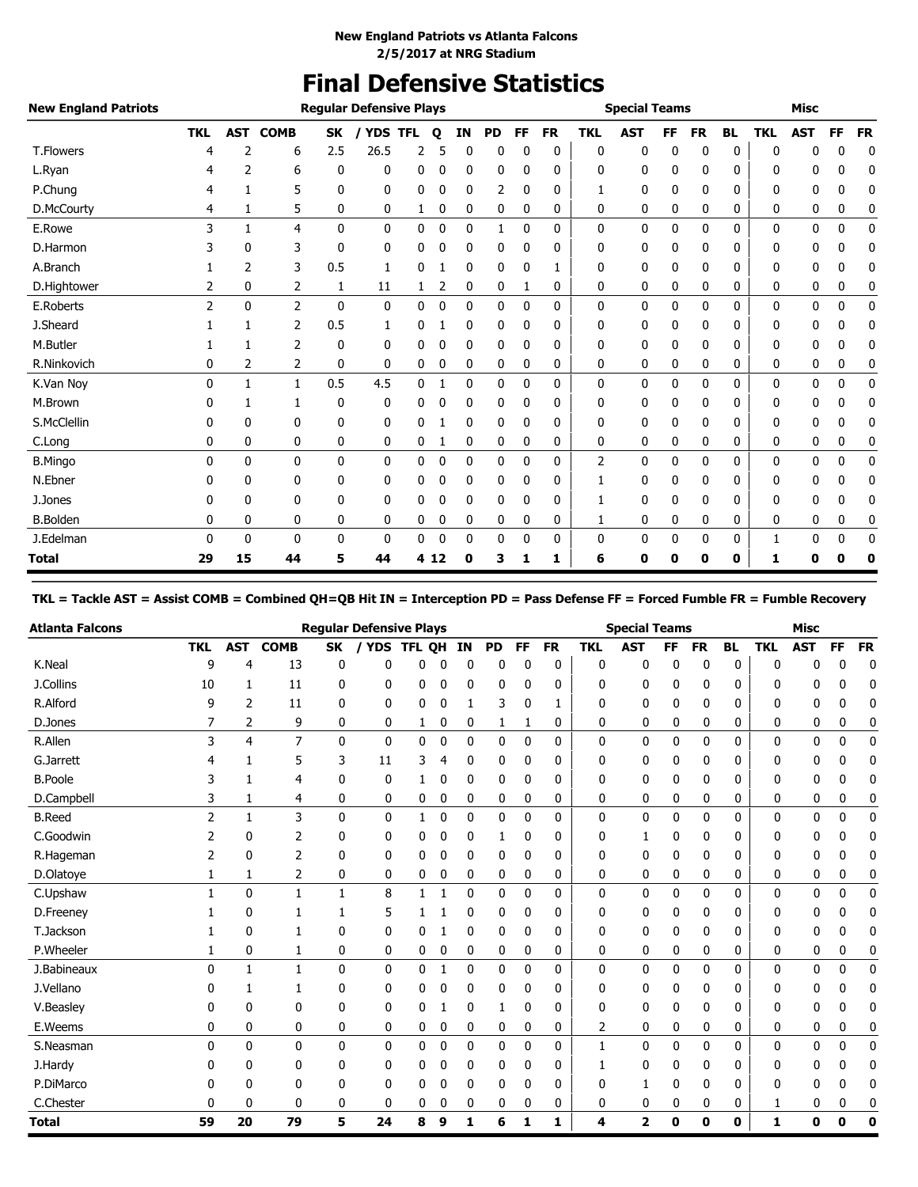# **Final Defensive Statistics**

| <b>New England Patriots</b> |                |              |                |           | <b>Regular Defensive Plays</b> |            |      |           |              |              |           |            | <b>Special Teams</b> |    |           |           |            | <b>Misc</b> |    |           |
|-----------------------------|----------------|--------------|----------------|-----------|--------------------------------|------------|------|-----------|--------------|--------------|-----------|------------|----------------------|----|-----------|-----------|------------|-------------|----|-----------|
|                             | <b>TKL</b>     | <b>AST</b>   | <b>COMB</b>    | <b>SK</b> | <b>YDS</b>                     | <b>TFL</b> | О    | <b>IN</b> | <b>PD</b>    | FF           | <b>FR</b> | <b>TKL</b> | <b>AST</b>           | FF | <b>FR</b> | <b>BL</b> | <b>TKL</b> | <b>AST</b>  | FF | <b>FR</b> |
| <b>T.Flowers</b>            | 4              | 2            | 6              | 2.5       | 26.5                           | 2          | 5    | 0         | 0            | 0            | 0         | 0          | 0                    | 0  | 0         | 0         | 0          | 0           | 0  | 0         |
| L.Ryan                      |                | 2            | 6              | 0         | 0                              | 0          | 0    | 0         | 0            | 0            | 0         | 0          | 0                    | 0  | 0         | 0         | 0          | 0           | 0  | 0         |
| P.Chung                     | 4              | 1            | 5              | 0         | 0                              | 0          | 0    | 0         | 2            | 0            | 0         |            | 0                    | 0  | 0         | 0         | 0          | 0           | 0  | 0         |
| D.McCourty                  | 4              | 1            | 5              | 0         | 0                              | 1          | 0    | 0         | 0            | 0            | 0         | 0          | 0                    | 0  | 0         | 0         | 0          | 0           | 0  | 0         |
| E.Rowe                      | 3              | $\mathbf{1}$ | 4              | 0         | 0                              | 0          | 0    | 0         | $\mathbf{1}$ | 0            | 0         | 0          | 0                    | 0  | 0         | 0         | 0          | 0           | 0  | 0         |
| D.Harmon                    |                | $\mathbf{0}$ | 3              | 0         | 0                              | 0          | 0    | 0         | 0            | 0            | 0         | 0          | 0                    | 0  | 0         | 0         | 0          | 0           | 0  | 0         |
| A.Branch                    |                | 2            | 3              | 0.5       | 1                              | 0          |      | 0         | 0            | 0            | 1         | 0          | 0                    | 0  | 0         | 0         | 0          | 0           | 0  | 0         |
| D.Hightower                 | 2              | 0            | 2              | 1         | 11                             | 1          | 2    | 0         | 0            | 1            | 0         | 0          | 0                    | 0  | 0         | 0         | 0          | 0           | 0  | 0         |
| E.Roberts                   | $\overline{2}$ | $\mathbf{0}$ | $\overline{2}$ | 0         | 0                              | 0          | 0    | 0         | 0            | $\mathbf{0}$ | 0         | 0          | 0                    | 0  | 0         | 0         | 0          | 0           | 0  | 0         |
| J.Sheard                    |                | 1            | 2              | 0.5       | 1                              | 0          |      | 0         | 0            | $\mathbf{0}$ | 0         | 0          | 0                    | 0  | 0         | 0         | 0          | 0           | 0  | 0         |
| M.Butler                    |                | 1            | 2              | 0         | 0                              | 0          | 0    | 0         | 0            | 0            | 0         | 0          | 0                    | 0  | 0         | 0         | 0          | 0           | 0  | 0         |
| R.Ninkovich                 | 0              | 2            | 2              | 0         | 0                              | 0          | 0    | 0         | 0            | 0            | 0         | 0          | 0                    | 0  | 0         | 0         | 0          | 0           | 0  | 0         |
| K.Van Nov                   | 0              | $\mathbf{1}$ | 1              | 0.5       | 4.5                            | 0          |      | 0         | 0            | $\mathbf{0}$ | 0         | 0          | 0                    | 0  | 0         | 0         | 0          | 0           | 0  | 0         |
| M.Brown                     |                |              |                | 0         | 0                              | 0          |      | 0         | 0            | 0            | 0         | 0          | 0                    | 0  | 0         | 0         | 0          | 0           | 0  | 0         |
| S.McClellin                 | 0              | 0            | 0              | 0         | 0                              | 0          |      | 0         | 0            | 0            | 0         | 0          | 0                    | 0  | 0         | 0         | 0          | 0           | 0  | 0         |
| C.Long                      | 0              | 0            | 0              | 0         | 0                              | 0          |      | 0         | 0            | 0            | 0         | 0          | 0                    | 0  | 0         | 0         | 0          | 0           | 0  | 0         |
| <b>B.Mingo</b>              | 0              | $\mathbf{0}$ | 0              | 0         | 0                              | 0          | 0    | 0         | 0            | 0            | 0         | 2          | 0                    | 0  | 0         | 0         | 0          | 0           | 0  | 0         |
| N.Ebner                     |                | 0            | 0              | 0         | 0                              | 0          | 0    | 0         | 0            | 0            | 0         |            | 0                    | 0  | 0         | 0         | 0          | 0           | 0  | 0         |
| J.Jones                     |                | 0            | 0              | 0         | 0                              | 0          | 0    | 0         | 0            | $\mathbf{0}$ | 0         |            | 0                    | 0  | 0         | 0         | 0          | 0           | 0  | 0         |
| <b>B.Bolden</b>             | 0              | 0            | 0              | 0         | 0                              | 0          | 0    | 0         | 0            | 0            | 0         | 1          | 0                    | 0  | 0         | 0         | 0          | 0           | 0  | 0         |
| J.Edelman                   | 0              | $\mathbf{0}$ | 0              | 0         | $\mathbf{0}$                   | 0          | 0    | $\Omega$  | 0            | 0            | 0         | 0          | 0                    | 0  | 0         | 0         | 1          | 0           | 0  | 0         |
| Total                       | 29             | 15           | 44             | 5         | 44                             |            | 4 12 | 0         | 3            | 1            | 1         | 6          | 0                    | 0  | 0         | 0         | 1          | 0           | O  | 0         |

**TKL = Tackle AST = Assist COMB = Combined QH=QB Hit IN = Interception PD = Pass Defense FF = Forced Fumble FR = Fumble Recovery**

| <b>Atlanta Falcons</b> |            |              |              |              | <b>Regular Defensive Plays</b> |            |           |             |           |    |           |              | <b>Special Teams</b> |    |              |           |              | <b>Misc</b> |              |           |
|------------------------|------------|--------------|--------------|--------------|--------------------------------|------------|-----------|-------------|-----------|----|-----------|--------------|----------------------|----|--------------|-----------|--------------|-------------|--------------|-----------|
|                        | <b>TKL</b> | <b>AST</b>   | <b>COMB</b>  | SK           | <b>YDS</b>                     | <b>TFL</b> | <b>OH</b> | IN          | <b>PD</b> | FF | <b>FR</b> | <b>TKL</b>   | <b>AST</b>           | FF | <b>FR</b>    | <b>BL</b> | <b>TKL</b>   | <b>AST</b>  | FF           | <b>FR</b> |
| K.Neal                 | 9          | 4            | 13           | 0            | 0                              | 0          |           | $\Omega$    | 0         | 0  | 0         | 0            | 0                    | 0  | 0            | 0         | $\mathbf{0}$ | 0           | 0            | 0         |
| J.Collins              | 10         | 1            | 11           | 0            | 0                              | 0          | 0         | 0           | 0         | 0  | 0         | 0            | 0                    | 0  | 0            | 0         | 0            | 0           | 0            | 0         |
| R.Alford               | 9          | 2            | 11           | 0            | 0                              | 0          | 0         | 1           | 3         | 0  | 1         | 0            | 0                    | 0  | 0            | 0         | 0            | 0           | 0            | 0         |
| D.Jones                |            | 2            | 9            | 0            | 0                              | 1          | 0         | 0           | 1         | 1  | 0         | 0            | 0                    | 0  | 0            | 0         | 0            | 0           | 0            | 0         |
| R.Allen                | 3          | 4            | 7            | $\mathbf{0}$ | 0                              | 0          | 0         | $\mathbf 0$ | 0         | 0  | 0         | $\mathbf{0}$ | 0                    | 0  | $\mathbf{0}$ | 0         | $\mathbf{0}$ | 0           | $\mathbf 0$  | 0         |
| G.Jarrett              |            |              | 5            | 3            | 11                             | 3          | 4         | 0           | 0         | 0  | 0         | 0            | 0                    | 0  | 0            | 0         | 0            | 0           | 0            | 0         |
| <b>B.Poole</b>         |            |              | 4            | 0            | 0                              | 1          | 0         | 0           | 0         | 0  | 0         | 0            | 0                    | 0  | 0            | 0         | 0            | 0           | 0            | 0         |
| D.Campbell             | 3          | 1            | 4            | 0            | 0                              | 0          | 0         | 0           | 0         | 0  | 0         | 0            | 0                    | 0  | 0            | 0         | 0            | 0           | 0            | 0         |
| <b>B.Reed</b>          | 2          | $\mathbf{1}$ | 3            | $\mathbf{0}$ | 0                              | 1          | 0         | 0           | 0         | 0  | 0         | 0            | 0                    | 0  | 0            | 0         | 0            | 0           | 0            | 0         |
| C.Goodwin              | 2          | 0            | 2            | 0            | 0                              | 0          | 0         | 0           |           | 0  | 0         | 0            | 1                    | 0  | 0            | 0         | 0            | 0           | 0            | 0         |
| R.Hageman              | 2          | $\mathbf{0}$ | 2            | 0            | 0                              | 0          | 0         | 0           | 0         | 0  | 0         | 0            | 0                    | 0  | 0            | 0         | 0            | 0           | 0            | 0         |
| D.Olatoye              | 1          | 1            | 2            | 0            | 0                              | 0          | 0         | 0           | 0         | 0  | 0         | 0            | 0                    | 0  | 0            | 0         | 0            | 0           | 0            | 0         |
| C.Upshaw               |            | $\mathbf{0}$ | $\mathbf{1}$ | $\mathbf{1}$ | 8                              | 1          | 1         | $\mathbf 0$ | 0         | 0  | 0         | 0            | 0                    | 0  | 0            | 0         | $\mathbf 0$  | 0           | $\mathbf 0$  | 0         |
| D.Freeney              |            | 0            | 1            |              | 5                              |            |           | 0           | 0         | 0  | 0         | 0            | 0                    | 0  | 0            | 0         | 0            | 0           | 0            | 0         |
| T.Jackson              |            | 0            | 1            | $\mathbf{0}$ | 0                              | 0          |           | 0           | 0         | 0  | 0         | 0            | 0                    | 0  | 0            | 0         | 0            | 0           | 0            | 0         |
| P.Wheeler              |            | 0            | 1            | 0            | 0                              | 0          | 0         | 0           | 0         | 0  | 0         | 0            | 0                    | 0  | 0            | 0         | 0            | 0           | 0            | 0         |
| J.Babineaux            | $\Omega$   | $\mathbf{1}$ | 1            | 0            | 0                              | 0          | 1         | $\mathbf 0$ | 0         | 0  | 0         | 0            | 0                    | 0  | 0            | 0         | $\mathbf 0$  | 0           | $\mathbf 0$  | 0         |
| J.Vellano              |            | 1            | 1            | 0            | 0                              | 0          | 0         | 0           | 0         | 0  | 0         | 0            | 0                    | 0  | 0            | 0         | 0            | 0           | 0            | 0         |
| V.Beasley              | 0          | 0            | 0            | 0            | 0                              | 0          | 1         | 0           | 1         | 0  | 0         | 0            | 0                    | 0  | 0            | 0         | 0            | 0           | 0            | 0         |
| E.Weems                | 0          | 0            | 0            | 0            | 0                              | 0          | 0         | 0           | 0         | 0  | 0         | 2            | 0                    | 0  | 0            | 0         | 0            | 0           | 0            | 0         |
| S.Neasman              | 0          | 0            | $\mathbf{0}$ | $\mathbf{0}$ | 0                              | 0          | 0         | $\mathbf 0$ | 0         | 0  | 0         | 1            | 0                    | 0  | 0            | 0         | 0            | 0           | $\mathbf{0}$ | 0         |
| J.Hardy                |            | 0            | 0            | 0            | 0                              | 0          | 0         | 0           | 0         | 0  | 0         | 1            | 0                    | 0  | 0            | 0         | 0            | 0           | 0            | 0         |
| P.DiMarco              |            | 0            | 0            | 0            | 0                              | 0          | 0         | 0           | 0         | 0  | 0         | 0            | 1                    | 0  | 0            | 0         | 0            | 0           | 0            | 0         |
| C.Chester              | 0          | 0            | 0            | 0            | 0                              | 0          | 0         | 0           | 0         | 0  | 0         | 0            | 0                    | 0  | 0            | 0         | 1            | 0           | 0            | 0         |
| <b>Total</b>           | 59         | 20           | 79           | 5            | 24                             | 8          | 9         | 1           | 6         | 1  | 1         | 4            | 2                    | 0  | 0            | 0         | 1            | 0           | $\mathbf{0}$ | 0         |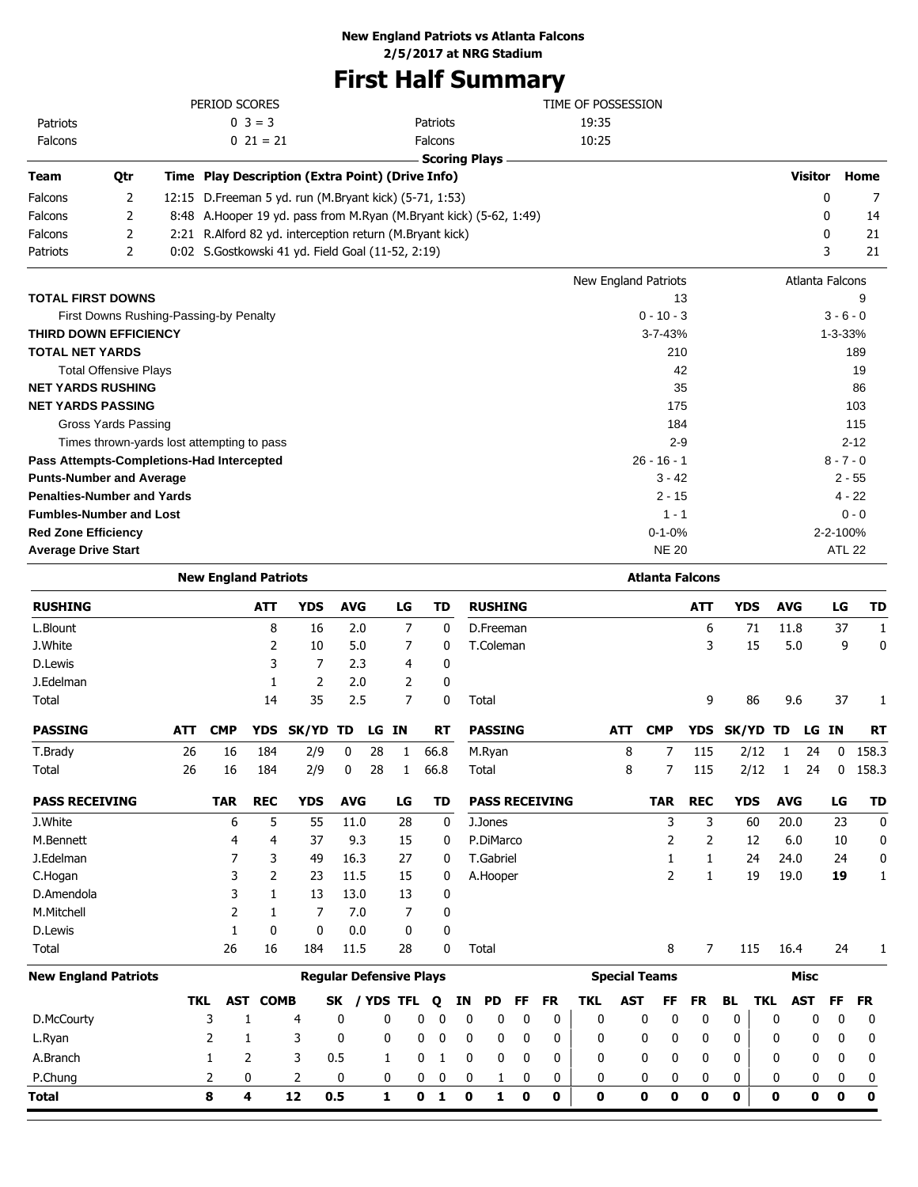# **First Half Summary**

|                              |                                        | TIME OF POSSESSION                                         |                                                                       |                             |                 |      |
|------------------------------|----------------------------------------|------------------------------------------------------------|-----------------------------------------------------------------------|-----------------------------|-----------------|------|
| Patriots                     |                                        | $0 \ 3 = 3$                                                | Patriots                                                              | 19:35                       |                 |      |
| Falcons                      |                                        | $0\ 21 = 21$                                               | <b>Falcons</b>                                                        | 10:25                       |                 |      |
|                              |                                        |                                                            | <b>Scoring Plays</b>                                                  |                             |                 |      |
| Team                         | Qtr                                    | Time Play Description (Extra Point) (Drive Info)           |                                                                       |                             | Visitor         | Home |
| Falcons                      | 2                                      | 12:15 D. Freeman 5 yd. run (M. Bryant kick) (5-71, 1:53)   |                                                                       |                             | 0               |      |
| Falcons                      | 2                                      |                                                            | 8:48 A. Hooper 19 yd. pass from M. Ryan (M. Bryant kick) (5-62, 1:49) |                             | 0               | 14   |
| Falcons                      | 2                                      | 2:21 R. Alford 82 yd. interception return (M. Bryant kick) |                                                                       |                             | 0               | 21   |
| Patriots                     | 2                                      |                                                            | 3                                                                     | 21                          |                 |      |
|                              |                                        |                                                            |                                                                       | <b>New England Patriots</b> | Atlanta Falcons |      |
| <b>TOTAL FIRST DOWNS</b>     |                                        |                                                            |                                                                       | 13                          |                 | 9    |
|                              | First Downs Rushing-Passing-by Penalty | $0 - 10 - 3$                                               |                                                                       | $3 - 6 - 0$                 |                 |      |
| <b>THIRD DOWN EFFICIENCY</b> |                                        | $1 - 3 - 33%$                                              |                                                                       |                             |                 |      |
| <b>TOTAL NET YARDS</b>       |                                        |                                                            |                                                                       | 210                         |                 | 189  |
|                              | <b>Total Offensive Plays</b>           |                                                            |                                                                       | 42                          |                 | 19   |
| <b>NET YARDS RUSHING</b>     |                                        |                                                            |                                                                       | 35                          |                 | 86   |
|                              |                                        |                                                            |                                                                       |                             |                 |      |

| NEI IARDƏ RUƏNINU                          | သ             | oo          |
|--------------------------------------------|---------------|-------------|
| <b>NET YARDS PASSING</b>                   | 175           | 103         |
| Gross Yards Passing                        | 184           | 115         |
| Times thrown-yards lost attempting to pass | $2-9$         | $2 - 12$    |
| Pass Attempts-Completions-Had Intercepted  | $26 - 16 - 1$ | $8 - 7 - 0$ |
| <b>Punts-Number and Average</b>            | $3 - 42$      | $2 - 55$    |
| <b>Penalties-Number and Yards</b>          | $2 - 15$      | $4 - 22$    |
| <b>Fumbles-Number and Lost</b>             | $1 - 1$       | $0 - 0$     |
| <b>Red Zone Efficiency</b>                 | $0 - 1 - 0%$  | 2-2-100%    |
| <b>Average Drive Start</b>                 | <b>NE 20</b>  | ATL 22      |
|                                            |               |             |

| <b>New England Patriots</b> |            |            |              |              |            |       |                |                                                                       |    |             |                  |    |                       |            |            | <b>Atlanta Falcons</b> |            |                |              |            |            |             |             |
|-----------------------------|------------|------------|--------------|--------------|------------|-------|----------------|-----------------------------------------------------------------------|----|-------------|------------------|----|-----------------------|------------|------------|------------------------|------------|----------------|--------------|------------|------------|-------------|-------------|
| <b>RUSHING</b>              |            |            | <b>ATT</b>   | <b>YDS</b>   | <b>AVG</b> |       | LG             | <b>TD</b>                                                             |    |             | <b>RUSHING</b>   |    |                       |            |            |                        | <b>ATT</b> |                | <b>YDS</b>   | <b>AVG</b> |            | LG          | <b>TD</b>   |
| L.Blount                    |            |            | 8            | 16           | 2.0        |       | $\overline{7}$ |                                                                       | 0  |             | D.Freeman        |    |                       |            |            |                        |            | 6              | 71           | 11.8       |            | 37          | 1           |
| J.White                     |            |            | 2            | 10           | 5.0        |       | 7              |                                                                       | 0  |             | T.Coleman        |    |                       |            |            |                        |            | 3              | 15           | 5.0        |            | 9           | $\mathbf 0$ |
| D.Lewis                     |            |            | 3            | 7            | 2.3        |       | 4              |                                                                       | 0  |             |                  |    |                       |            |            |                        |            |                |              |            |            |             |             |
| J.Edelman                   |            |            | 1            | 2            | 2.0        |       | 2              |                                                                       | 0  |             |                  |    |                       |            |            |                        |            |                |              |            |            |             |             |
| Total                       |            |            | 14           | 35           | 2.5        |       | $\overline{7}$ |                                                                       | 0  | Total       |                  |    |                       |            |            |                        |            | 9              | 86           | 9.6        |            | 37          | 1           |
| <b>PASSING</b>              | <b>ATT</b> | <b>CMP</b> | <b>YDS</b>   | <b>SK/YD</b> | TD         | LG    | <b>IN</b>      | <b>RT</b>                                                             |    |             | <b>PASSING</b>   |    |                       |            | <b>ATT</b> | <b>CMP</b>             | <b>YDS</b> |                | <b>SK/YD</b> | TD         | LG         | <b>IN</b>   | <b>RT</b>   |
| T.Brady                     | 26         | 16         | 184          | 2/9          | 0          | 28    | 1              | 66.8                                                                  |    |             | M.Ryan           |    |                       |            | 8          | 7                      | 115        |                | 2/12         | 1          | 24         | 0           | 158.3       |
| Total                       | 26         | 16         | 184          | 2/9          | 0          | 28    | 1              | 66.8                                                                  |    | Total       |                  |    |                       |            | 8          | 7                      | 115        |                | 2/12         | 1          | 24         | 0           | 158.3       |
| <b>PASS RECEIVING</b>       |            | <b>TAR</b> | <b>REC</b>   | <b>YDS</b>   | <b>AVG</b> |       | LG             | <b>TD</b>                                                             |    |             |                  |    | <b>PASS RECEIVING</b> |            |            | <b>TAR</b>             | <b>REC</b> |                | <b>YDS</b>   | <b>AVG</b> |            | LG          | <b>TD</b>   |
| J.White                     |            | 6          | 5            | 55           | 11.0       |       | 28             |                                                                       | 0  |             | J.Jones          |    |                       |            |            | 3                      |            | 3              | 60           | 20.0       |            | 23          | 0           |
| M.Bennett                   |            | 4          | 4            | 37           | 9.3        |       | 15             |                                                                       | 0  |             | P.DiMarco        |    |                       |            |            | 2                      |            | 2              | 12           | 6.0        |            | 10          | 0           |
| J.Edelman                   |            | 7          | 3            | 49           | 16.3       |       | 27             |                                                                       | 0  |             | <b>T.Gabriel</b> |    |                       |            |            | 1                      |            | 1              | 24           | 24.0       |            | 24          | 0           |
| C.Hogan                     |            | 3          | 2            | 23           | 11.5       |       | 15             |                                                                       | 0  |             | A.Hooper         |    |                       |            |            | 2                      |            | 1              | 19           | 19.0       |            | 19          | 1           |
| D.Amendola                  |            | 3          | 1            | 13           | 13.0       |       | 13             |                                                                       | 0  |             |                  |    |                       |            |            |                        |            |                |              |            |            |             |             |
| M.Mitchell                  |            | 2          | 1            | 7            | 7.0        |       | 7              |                                                                       | 0  |             |                  |    |                       |            |            |                        |            |                |              |            |            |             |             |
| D.Lewis                     |            | 1          | $\mathbf{0}$ | 0            | 0.0        |       | 0              |                                                                       | 0  |             |                  |    |                       |            |            |                        |            |                |              |            |            |             |             |
| Total                       |            | 26         | 16           | 184          | 11.5       |       | 28             |                                                                       | 0  | Total       |                  |    |                       |            |            | 8                      |            | $\overline{7}$ | 115          | 16.4       |            | 24          | 1           |
| <b>New England Patriots</b> |            |            |              |              |            |       |                | <b>Special Teams</b><br><b>Misc</b><br><b>Regular Defensive Plays</b> |    |             |                  |    |                       |            |            |                        |            |                |              |            |            |             |             |
|                             | <b>TKL</b> | <b>AST</b> | <b>COMB</b>  |              | <b>SK</b>  | / YDS | TFL            | Q                                                                     | ΙN |             | <b>PD</b>        | FF | <b>FR</b>             | <b>TKL</b> | <b>AST</b> | FF                     | <b>FR</b>  | <b>BL</b>      | <b>TKL</b>   |            | <b>AST</b> | <b>FF</b>   | <b>FR</b>   |
| D.McCourty                  |            | 3          | 1            | 4            | 0          | 0     |                | 0<br>0                                                                |    | 0           | 0                | 0  | $\mathbf 0$           | 0          |            | 0                      | 0<br>0     |                | 0            | 0          | 0          | 0           | 0           |
| L.Ryan                      |            | 2          | 1            | 3            | 0          | 0     |                | 0<br>0                                                                |    | 0           | 0                | 0  | 0                     | 0          |            | 0                      | 0<br>0     |                | 0            | 0          | 0          | $\mathbf 0$ | 0           |
| A.Branch                    |            | 1          | 2            | 3            | 0.5        | 1     |                | 0<br>1                                                                |    | 0           | 0                | 0  | $\mathbf{0}$          | $\Omega$   |            | 0                      | 0<br>0     |                | 0            | 0          | 0          | 0           | 0           |
| P.Chung                     |            | 2          | 0            | 2            | 0          |       | 0              | 0<br>0                                                                |    | 0           | 1                | 0  | 0                     | 0          |            | 0                      | 0<br>0     |                | 0            | 0          | 0          | 0           | 0           |
| <b>Total</b>                |            | 8          | 4            | 12           | 0.5        | 1     |                | 0<br>1                                                                |    | $\mathbf 0$ | 1                | 0  | 0                     | 0          |            | 0                      | 0<br>0     |                | 0            | 0          | 0          | 0           | $\mathbf 0$ |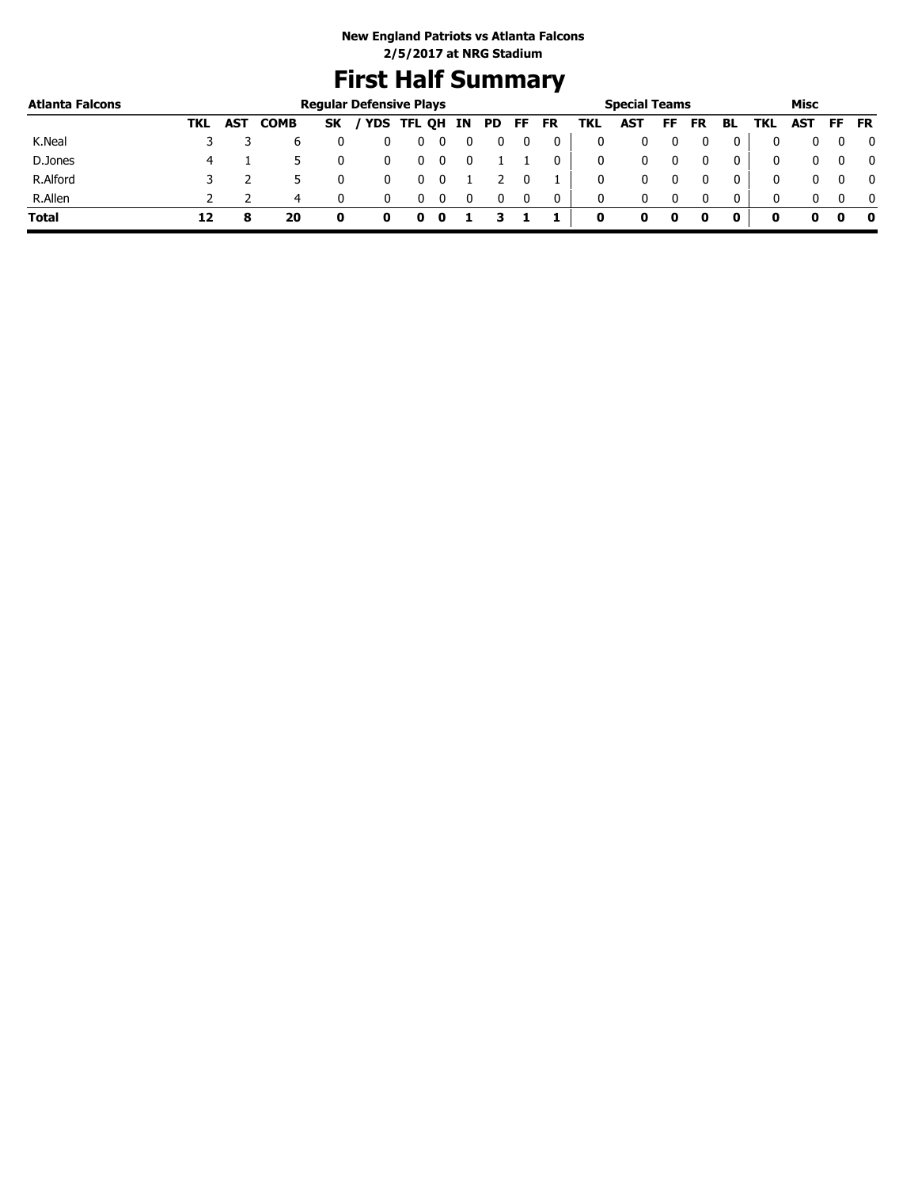# **First Half Summary**

| <b>Atlanta Falcons</b> |     |            |             |           | <b>Regular Defensive Plays</b> |   |  |    |    |           |     | <b>Special Teams</b> |     |           |              |     | Misc |              |
|------------------------|-----|------------|-------------|-----------|--------------------------------|---|--|----|----|-----------|-----|----------------------|-----|-----------|--------------|-----|------|--------------|
|                        | TKL | <b>AST</b> | <b>COMB</b> | <b>SK</b> | / YDS TFL QH IN                |   |  | PD | FF | <b>FR</b> | TKL | <b>AST</b>           | FF. | <b>FR</b> | BL           | TKL | AST  | FF FR        |
| K.Neal                 |     |            | b           |           |                                |   |  |    |    |           |     |                      |     |           |              |     |      | 0            |
| D.Jones                | 4   |            |             |           |                                | U |  |    |    |           | 0   | 0                    |     |           | 0            | 0   | 0    | $\mathbf{0}$ |
| R.Alford               |     |            |             |           |                                |   |  |    |    |           | 0   |                      |     |           |              | 0   | 0    | $\mathbf{0}$ |
| R.Allen                |     |            | 4           |           |                                | U |  |    |    |           | 0   | 0                    |     |           | $\mathbf{0}$ | 0   | 0    | $\mathbf{0}$ |
| <b>Total</b>           | 12  |            | 20          | 0         |                                |   |  |    |    |           | 0   |                      | o   |           |              | o   | o    | - 0          |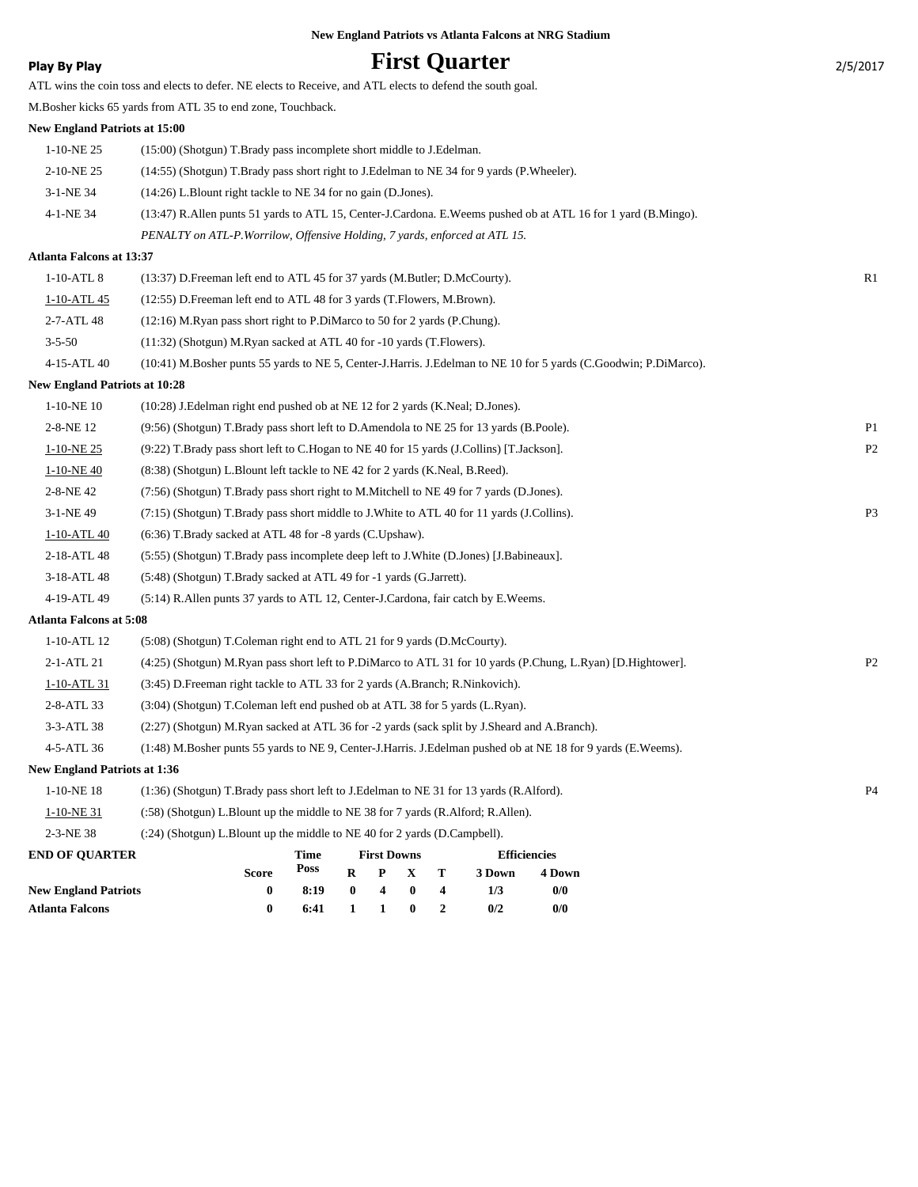|  |  |  | <b>New England Patriots vs Atlanta Falcons at NRG Stadium</b> |  |  |  |  |
|--|--|--|---------------------------------------------------------------|--|--|--|--|
|--|--|--|---------------------------------------------------------------|--|--|--|--|

# **Play By Play Play Play Play First Quarter** 2/5/2017

|                                      | ATL wins the coin toss and elects to defer. NE elects to Receive, and ATL elects to defend the south goal.       |                |
|--------------------------------------|------------------------------------------------------------------------------------------------------------------|----------------|
|                                      | M.Bosher kicks 65 yards from ATL 35 to end zone, Touchback.                                                      |                |
| New England Patriots at 15:00        |                                                                                                                  |                |
| $1-10-NE$ 25                         | (15:00) (Shotgun) T.Brady pass incomplete short middle to J.Edelman.                                             |                |
| 2-10-NE 25                           | (14:55) (Shotgun) T.Brady pass short right to J.Edelman to NE 34 for 9 yards (P.Wheeler).                        |                |
| 3-1-NE 34                            | (14:26) L.Blount right tackle to NE 34 for no gain (D.Jones).                                                    |                |
| 4-1-NE 34                            | (13:47) R.Allen punts 51 yards to ATL 15, Center-J.Cardona. E.Weems pushed ob at ATL 16 for 1 yard (B.Mingo).    |                |
|                                      | PENALTY on ATL-P. Worrilow, Offensive Holding, 7 yards, enforced at ATL 15.                                      |                |
| Atlanta Falcons at 13:37             |                                                                                                                  |                |
| 1-10-ATL 8                           | (13:37) D.Freeman left end to ATL 45 for 37 yards (M.Butler; D.McCourty).                                        | R1             |
| 1-10-ATL 45                          | (12:55) D. Freeman left end to ATL 48 for 3 yards (T. Flowers, M. Brown).                                        |                |
| 2-7-ATL 48                           | (12:16) M.Ryan pass short right to P.DiMarco to 50 for 2 yards (P.Chung).                                        |                |
| $3 - 5 - 50$                         | (11:32) (Shotgun) M.Ryan sacked at ATL 40 for -10 yards (T.Flowers).                                             |                |
| 4-15-ATL 40                          | (10:41) M.Bosher punts 55 yards to NE 5, Center-J.Harris. J.Edelman to NE 10 for 5 yards (C.Goodwin; P.DiMarco). |                |
| <b>New England Patriots at 10:28</b> |                                                                                                                  |                |
| $1-10-NE$ 10                         | (10:28) J.Edelman right end pushed ob at NE 12 for 2 yards (K.Neal; D.Jones).                                    |                |
| 2-8-NE 12                            | (9:56) (Shotgun) T.Brady pass short left to D.Amendola to NE 25 for 13 yards (B.Poole).                          | P <sub>1</sub> |
| $1-10-NE$ 25                         | (9:22) T.Brady pass short left to C.Hogan to NE 40 for 15 yards (J.Collins) [T.Jackson].                         | P <sub>2</sub> |
| $1 - 10 - NE 40$                     | (8:38) (Shotgun) L.Blount left tackle to NE 42 for 2 yards (K.Neal, B.Reed).                                     |                |
| 2-8-NE 42                            | (7:56) (Shotgun) T.Brady pass short right to M.Mitchell to NE 49 for 7 yards (D.Jones).                          |                |
| 3-1-NE 49                            | (7:15) (Shotgun) T.Brady pass short middle to J.White to ATL 40 for 11 yards (J.Collins).                        | P3             |
| 1-10-ATL 40                          | (6:36) T.Brady sacked at ATL 48 for -8 yards (C.Upshaw).                                                         |                |
| 2-18-ATL 48                          | (5:55) (Shotgun) T.Brady pass incomplete deep left to J.White (D.Jones) [J.Babineaux].                           |                |
| 3-18-ATL 48                          | (5:48) (Shotgun) T.Brady sacked at ATL 49 for -1 yards (G.Jarrett).                                              |                |
| 4-19-ATL 49                          | (5:14) R. Allen punts 37 yards to ATL 12, Center-J. Cardona, fair catch by E. Weems.                             |                |
| <b>Atlanta Falcons at 5:08</b>       |                                                                                                                  |                |
| 1-10-ATL 12                          | (5:08) (Shotgun) T.Coleman right end to ATL 21 for 9 yards (D.McCourty).                                         |                |
| 2-1-ATL 21                           | (4:25) (Shotgun) M.Ryan pass short left to P.DiMarco to ATL 31 for 10 yards (P.Chung, L.Ryan) [D.Hightower].     | P <sub>2</sub> |
| 1-10-ATL 31                          | (3:45) D. Freeman right tackle to ATL 33 for 2 yards (A. Branch; R. Ninkovich).                                  |                |
| 2-8-ATL 33                           | (3:04) (Shotgun) T.Coleman left end pushed ob at ATL 38 for 5 yards (L.Ryan).                                    |                |
| 3-3-ATL 38                           | (2:27) (Shotgun) M.Ryan sacked at ATL 36 for -2 yards (sack split by J.Sheard and A.Branch).                     |                |
| 4-5-ATL 36                           | (1:48) M.Bosher punts 55 yards to NE 9, Center-J.Harris. J.Edelman pushed ob at NE 18 for 9 yards (E.Weems).     |                |
| <b>New England Patriots at 1:36</b>  |                                                                                                                  |                |
| 1-10-NE 18                           | $(1:36)$ (Shotgun) T.Brady pass short left to J.Edelman to NE 31 for 13 yards (R.Alford).                        | P <sub>4</sub> |
| 1-10-NE 31                           | (:58) (Shotgun) L.Blount up the middle to NE 38 for 7 yards (R.Alford; R.Allen).                                 |                |
| 2-3-NE 38                            | (:24) (Shotgun) L.Blount up the middle to NE 40 for 2 yards (D.Campbell).                                        |                |
| <b>END OF QUARTER</b>                | <b>Time</b><br><b>First Downs</b><br><b>Efficiencies</b>                                                         |                |
|                                      | Poss<br>$R$ $P$ $X$<br>T<br><b>Score</b><br>3 Down<br>4 Down                                                     |                |

**New England Patriots 0 8:19 0 4 0 4 1/3 0/0 Atlanta Falcons 0 6:41 1 1 0 2 0/2 0/0**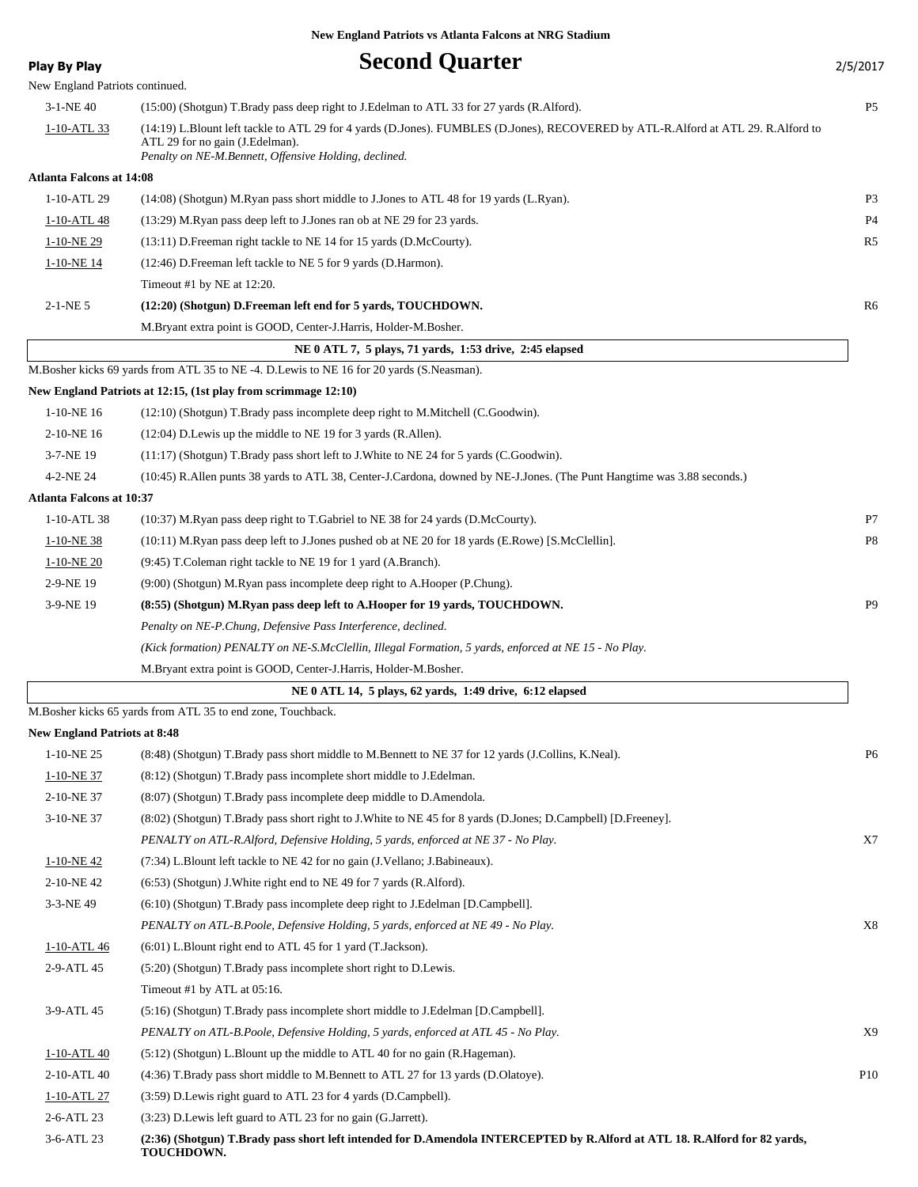| <b>Play By Play</b>                 | <b>Second Quarter</b>                                                                                                                                                                      | 2/5/2017       |
|-------------------------------------|--------------------------------------------------------------------------------------------------------------------------------------------------------------------------------------------|----------------|
| New England Patriots continued.     |                                                                                                                                                                                            |                |
| $3-1-NE$ 40                         | (15:00) (Shotgun) T.Brady pass deep right to J.Edelman to ATL 33 for 27 yards (R.Alford).                                                                                                  | P <sub>5</sub> |
| 1-10-ATL 33                         | (14:19) L.Blount left tackle to ATL 29 for 4 yards (D.Jones). FUMBLES (D.Jones), RECOVERED by ATL-R.Alford at ATL 29. R.Alford to                                                          |                |
|                                     | ATL 29 for no gain (J.Edelman).<br>Penalty on NE-M.Bennett, Offensive Holding, declined.                                                                                                   |                |
| <b>Atlanta Falcons at 14:08</b>     |                                                                                                                                                                                            |                |
| 1-10-ATL 29                         | (14:08) (Shotgun) M.Ryan pass short middle to J.Jones to ATL 48 for 19 yards (L.Ryan).                                                                                                     | P <sub>3</sub> |
| 1-10-ATL 48                         | (13:29) M.Ryan pass deep left to J.Jones ran ob at NE 29 for 23 yards.                                                                                                                     | P <sub>4</sub> |
| 1-10-NE 29                          | (13:11) D. Freeman right tackle to NE 14 for 15 yards (D. McCourty).                                                                                                                       | R5             |
| 1-10-NE 14                          | (12:46) D. Freeman left tackle to NE 5 for 9 yards (D. Harmon).                                                                                                                            |                |
|                                     | Timeout #1 by NE at 12:20.                                                                                                                                                                 |                |
| $2-1-NE$ 5                          | (12:20) (Shotgun) D.Freeman left end for 5 yards, TOUCHDOWN.                                                                                                                               | R6             |
|                                     | M.Bryant extra point is GOOD, Center-J.Harris, Holder-M.Bosher.                                                                                                                            |                |
|                                     | NE 0 ATL 7, 5 plays, 71 yards, 1:53 drive, 2:45 elapsed                                                                                                                                    |                |
|                                     | M.Bosher kicks 69 yards from ATL 35 to NE -4. D.Lewis to NE 16 for 20 yards (S.Neasman).                                                                                                   |                |
|                                     | New England Patriots at 12:15, (1st play from scrimmage 12:10)                                                                                                                             |                |
| $1-10-NE$ 16                        | (12:10) (Shotgun) T.Brady pass incomplete deep right to M.Mitchell (C.Goodwin).                                                                                                            |                |
| 2-10-NE 16                          | (12:04) D. Lewis up the middle to NE 19 for 3 yards (R. Allen).                                                                                                                            |                |
| 3-7-NE 19                           | (11:17) (Shotgun) T.Brady pass short left to J.White to NE 24 for 5 yards (C.Goodwin).                                                                                                     |                |
| 4-2-NE 24                           | (10:45) R.Allen punts 38 yards to ATL 38, Center-J.Cardona, downed by NE-J.Jones. (The Punt Hangtime was 3.88 seconds.)                                                                    |                |
| <b>Atlanta Falcons at 10:37</b>     |                                                                                                                                                                                            |                |
| 1-10-ATL 38                         | (10:37) M.Ryan pass deep right to T.Gabriel to NE 38 for 24 yards (D.McCourty).                                                                                                            | P7             |
| $1-10-NE$ 38                        | (10:11) M.Ryan pass deep left to J.Jones pushed ob at NE 20 for 18 yards (E.Rowe) [S.McClellin].                                                                                           | P <sub>8</sub> |
| $1-10-NE$ 20                        | (9:45) T.Coleman right tackle to NE 19 for 1 yard (A.Branch).                                                                                                                              |                |
| 2-9-NE 19                           | (9:00) (Shotgun) M.Ryan pass incomplete deep right to A.Hooper (P.Chung).                                                                                                                  |                |
| 3-9-NE 19                           | (8:55) (Shotgun) M.Ryan pass deep left to A.Hooper for 19 yards, TOUCHDOWN.                                                                                                                | P <sub>9</sub> |
|                                     | Penalty on NE-P. Chung, Defensive Pass Interference, declined.                                                                                                                             |                |
|                                     | (Kick formation) PENALTY on NE-S.McClellin, Illegal Formation, 5 yards, enforced at NE 15 - No Play.                                                                                       |                |
|                                     | M. Bryant extra point is GOOD, Center-J. Harris, Holder-M. Bosher.                                                                                                                         |                |
|                                     | NE 0 ATL 14, 5 plays, 62 yards, 1:49 drive, 6:12 elapsed                                                                                                                                   |                |
|                                     | M.Bosher kicks 65 yards from ATL 35 to end zone, Touchback.                                                                                                                                |                |
| <b>New England Patriots at 8:48</b> |                                                                                                                                                                                            |                |
| 1-10-NE 25                          | (8:48) (Shotgun) T.Brady pass short middle to M.Bennett to NE 37 for 12 yards (J.Collins, K.Neal).                                                                                         | P6             |
| 1-10-NE 37                          | (8:12) (Shotgun) T.Brady pass incomplete short middle to J.Edelman.                                                                                                                        |                |
| 2-10-NE 37                          | (8:07) (Shotgun) T.Brady pass incomplete deep middle to D.Amendola.                                                                                                                        |                |
| 3-10-NE 37                          | (8:02) (Shotgun) T.Brady pass short right to J.White to NE 45 for 8 yards (D.Jones; D.Campbell) [D.Freeney].                                                                               |                |
|                                     | PENALTY on ATL-R.Alford, Defensive Holding, 5 yards, enforced at NE 37 - No Play.                                                                                                          | X7             |
| 1-10-NE42                           | (7:34) L.Blount left tackle to NE 42 for no gain (J.Vellano; J.Babineaux).                                                                                                                 |                |
| 2-10-NE42                           | (6:53) (Shotgun) J. White right end to NE 49 for 7 yards (R. Alford).                                                                                                                      |                |
| 3-3-NE 49                           | $(6:10)$ (Shotgun) T.Brady pass incomplete deep right to J.Edelman [D.Campbell].                                                                                                           |                |
|                                     | PENALTY on ATL-B.Poole, Defensive Holding, 5 yards, enforced at NE 49 - No Play.                                                                                                           | X8             |
| 1-10-ATL 46                         | (6:01) L.Blount right end to ATL 45 for 1 yard (T.Jackson).                                                                                                                                |                |
| 2-9-ATL 45                          | (5:20) (Shotgun) T.Brady pass incomplete short right to D.Lewis.                                                                                                                           |                |
|                                     | Timeout #1 by ATL at 05:16.                                                                                                                                                                |                |
| 3-9-ATL 45                          | (5:16) (Shotgun) T.Brady pass incomplete short middle to J.Edelman [D.Campbell].                                                                                                           |                |
|                                     | PENALTY on ATL-B.Poole, Defensive Holding, 5 yards, enforced at ATL 45 - No Play.                                                                                                          | X9             |
| 1-10-ATL 40                         | $(5:12)$ (Shotgun) L.Blount up the middle to ATL 40 for no gain (R.Hageman).                                                                                                               |                |
| 2-10-ATL 40                         | (4:36) T.Brady pass short middle to M.Bennett to ATL 27 for 13 yards (D.Olatoye).                                                                                                          | P10            |
| 1-10-ATL 27                         | (3:59) D. Lewis right guard to ATL 23 for 4 yards (D. Campbell).                                                                                                                           |                |
| 2-6-ATL 23<br>$2 \epsilon$ ATI 22   | (3:23) D. Lewis left guard to ATL 23 for no gain (G. Jarrett).<br>(2.26) (Chataun) T Duady nags shout left intended for D Amendels IMTED CEDTED by D Alford at ATI 10 D Alford for 92 your |                |

**(2:36) (Shotgun) T.Brady pass short left intended for D.Amendola INTERCEPTED by R.Alford at ATL 18. R.Alford for 82 yards, TOUCHDOWN.** 3-6-ATL 23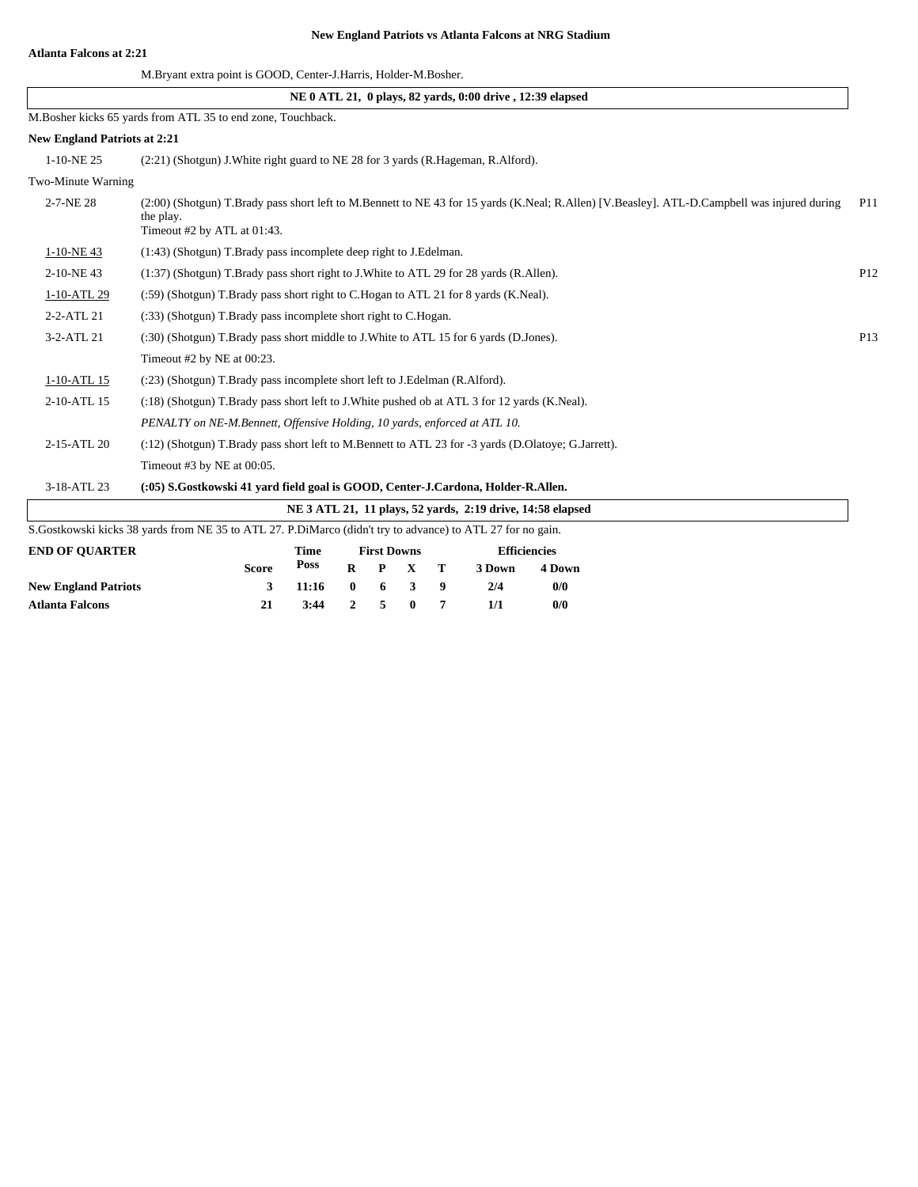#### **Atlanta Falcons at 2:21**

#### **New England Patriots vs Atlanta Falcons at NRG Stadium**

|                                     |                                                                                                              |             |              |                    |             |   | NE 0 ATL 21, 0 plays, 82 yards, 0:00 drive, 12:39 elapsed  |                     |                                                                                                                                              |     |
|-------------------------------------|--------------------------------------------------------------------------------------------------------------|-------------|--------------|--------------------|-------------|---|------------------------------------------------------------|---------------------|----------------------------------------------------------------------------------------------------------------------------------------------|-----|
|                                     | M.Bosher kicks 65 yards from ATL 35 to end zone, Touchback.                                                  |             |              |                    |             |   |                                                            |                     |                                                                                                                                              |     |
| <b>New England Patriots at 2:21</b> |                                                                                                              |             |              |                    |             |   |                                                            |                     |                                                                                                                                              |     |
| 1-10-NE 25                          | (2.21) (Shotgun) J. White right guard to NE 28 for 3 yards (R. Hageman, R. Alford).                          |             |              |                    |             |   |                                                            |                     |                                                                                                                                              |     |
| Two-Minute Warning                  |                                                                                                              |             |              |                    |             |   |                                                            |                     |                                                                                                                                              |     |
| 2-7-NE 28                           | the play.<br>Timeout #2 by ATL at 01:43.                                                                     |             |              |                    |             |   |                                                            |                     | (2:00) (Shotgun) T.Brady pass short left to M.Bennett to NE 43 for 15 yards (K.Neal; R.Allen) [V.Beasley]. ATL-D.Campbell was injured during | P11 |
| 1-10-NE43                           | (1:43) (Shotgun) T.Brady pass incomplete deep right to J.Edelman.                                            |             |              |                    |             |   |                                                            |                     |                                                                                                                                              |     |
| 2-10-NE43                           | (1:37) (Shotgun) T.Brady pass short right to J.White to ATL 29 for 28 yards (R.Allen).                       |             |              |                    |             |   |                                                            |                     |                                                                                                                                              | P12 |
| 1-10-ATL 29                         | (:59) (Shotgun) T.Brady pass short right to C.Hogan to ATL 21 for 8 yards (K.Neal).                          |             |              |                    |             |   |                                                            |                     |                                                                                                                                              |     |
| 2-2-ATL 21                          | (:33) (Shotgun) T.Brady pass incomplete short right to C.Hogan.                                              |             |              |                    |             |   |                                                            |                     |                                                                                                                                              |     |
| 3-2-ATL 21                          | (:30) (Shotgun) T.Brady pass short middle to J.White to ATL 15 for 6 yards (D.Jones).                        |             |              |                    |             |   |                                                            |                     |                                                                                                                                              | P13 |
|                                     | Timeout #2 by NE at 00:23.                                                                                   |             |              |                    |             |   |                                                            |                     |                                                                                                                                              |     |
| 1-10-ATL 15                         | (:23) (Shotgun) T.Brady pass incomplete short left to J.Edelman (R.Alford).                                  |             |              |                    |             |   |                                                            |                     |                                                                                                                                              |     |
| 2-10-ATL 15                         | (:18) (Shotgun) T.Brady pass short left to J.White pushed ob at ATL 3 for 12 yards (K.Neal).                 |             |              |                    |             |   |                                                            |                     |                                                                                                                                              |     |
|                                     | PENALTY on NE-M.Bennett, Offensive Holding, 10 yards, enforced at ATL 10.                                    |             |              |                    |             |   |                                                            |                     |                                                                                                                                              |     |
| 2-15-ATL 20                         | (:12) (Shotgun) T.Brady pass short left to M.Bennett to ATL 23 for -3 yards (D.Olatoye; G.Jarrett).          |             |              |                    |             |   |                                                            |                     |                                                                                                                                              |     |
|                                     | Timeout #3 by NE at 00:05.                                                                                   |             |              |                    |             |   |                                                            |                     |                                                                                                                                              |     |
| 3-18-ATL 23                         | (:05) S.Gostkowski 41 yard field goal is GOOD, Center-J.Cardona, Holder-R.Allen.                             |             |              |                    |             |   |                                                            |                     |                                                                                                                                              |     |
|                                     |                                                                                                              |             |              |                    |             |   | NE 3 ATL 21, 11 plays, 52 vards, 2:19 drive, 14:58 elapsed |                     |                                                                                                                                              |     |
|                                     | S. Gostkowski kicks 38 yards from NE 35 to ATL 27. P. DiMarco (didn't try to advance) to ATL 27 for no gain. |             |              |                    |             |   |                                                            |                     |                                                                                                                                              |     |
| <b>END OF QUARTER</b>               |                                                                                                              | <b>Time</b> |              | <b>First Downs</b> |             |   |                                                            | <b>Efficiencies</b> |                                                                                                                                              |     |
|                                     | <b>Score</b>                                                                                                 | <b>Poss</b> | $\bf{R}$     | P                  | $\mathbf X$ | т | 3 Down                                                     | 4 Down              |                                                                                                                                              |     |
| <b>New England Patriots</b>         | 3                                                                                                            | 11:16       | $\mathbf{0}$ | 6                  | 3           | 9 | 2/4                                                        | 0/0                 |                                                                                                                                              |     |
| <b>Atlanta Falcons</b>              | 21                                                                                                           | 3:44        | 2            | 5                  | $\bf{0}$    | 7 | 1/1                                                        | 0/0                 |                                                                                                                                              |     |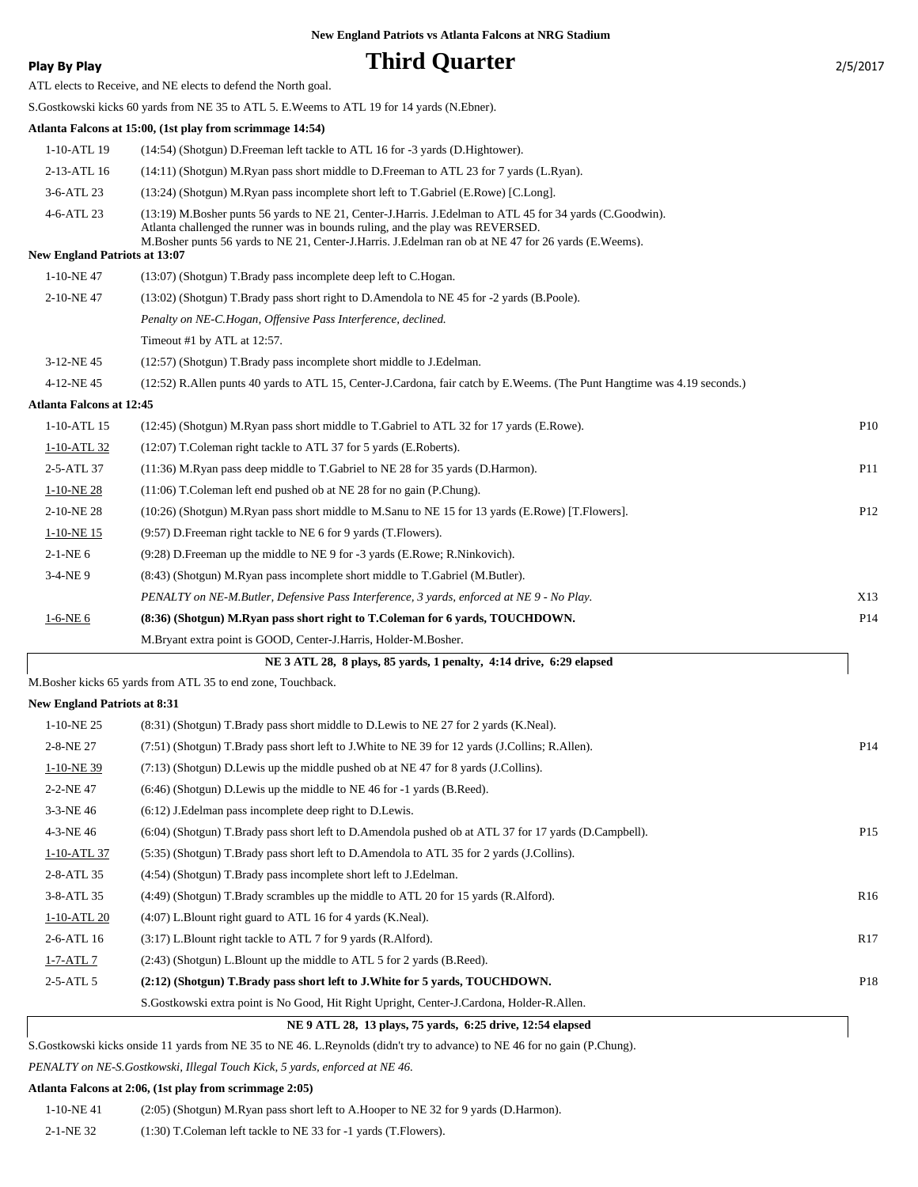**Phird Quarter** 2/5/2017

|  |  | Play By Play |
|--|--|--------------|
|--|--|--------------|

ATL elects to Receive, and NE elects to defend the North goal.

S.Gostkowski kicks 60 yards from NE 35 to ATL 5. E.Weems to ATL 19 for 14 yards (N.Ebner). **Atlanta Falcons at 15:00, (1st play from scrimmage 14:54)** 1-10-ATL 19 (14:54) (Shotgun) D.Freeman left tackle to ATL 16 for -3 yards (D.Hightower).

| <b>New England Patriots at 13:07</b> |                                                                                                                                                                                            |  |  |  |
|--------------------------------------|--------------------------------------------------------------------------------------------------------------------------------------------------------------------------------------------|--|--|--|
|                                      | Atlanta challenged the runner was in bounds ruling, and the play was REVERSED.<br>M. Bosher punts 56 vards to NE 21, Center-J. Harris, J. Edelman ran ob at NE 47 for 26 vards (E. Weems). |  |  |  |
| 4-6-ATL 23                           | (13:19) M.Bosher punts 56 yards to NE 21, Center-J.Harris. J.Edelman to ATL 45 for 34 yards (C.Goodwin).                                                                                   |  |  |  |
| 3-6-ATL 23                           | (13:24) (Shotgun) M.Ryan pass incomplete short left to T.Gabriel (E.Rowe) [C.Long].                                                                                                        |  |  |  |
| 2-13-ATL 16                          | (14:11) (Shotgun) M.Ryan pass short middle to D.Freeman to ATL 23 for 7 yards (L.Ryan).                                                                                                    |  |  |  |

| 1-10-NE 47 | $(13:07)$ (Shotgun) T.Brady pass incomplete deep left to C.Hogan. |  |
|------------|-------------------------------------------------------------------|--|
|------------|-------------------------------------------------------------------|--|

| 2-10-NE 47 | $(13:02)$ (Shotgun) T.Brady pass short right to D.Amendola to NE 45 for -2 yards (B.Poole). |
|------------|---------------------------------------------------------------------------------------------|
|            | Penalty on NE-C.Hogan, Offensive Pass Interference, declined.                               |
|            | Timeout #1 by ATL at 12:57.                                                                 |

3-12-NE 45 (12:57) (Shotgun) T.Brady pass incomplete short middle to J.Edelman.

4-12-NE 45 (12:52) R.Allen punts 40 yards to ATL 15, Center-J.Cardona, fair catch by E.Weems. (The Punt Hangtime was 4.19 seconds.)

#### **Atlanta Falcons at 12:45**

| $1-10-ATL$ 15 | (12:45) (Shotgun) M.Ryan pass short middle to T.Gabriel to ATL 32 for 17 yards (E.Rowe).         | P <sub>10</sub> |
|---------------|--------------------------------------------------------------------------------------------------|-----------------|
| 1-10-ATL 32   | (12:07) T. Coleman right tackle to ATL 37 for 5 yards (E. Roberts).                              |                 |
| 2-5-ATL 37    | (11:36) M.Ryan pass deep middle to T.Gabriel to NE 28 for 35 yards (D.Harmon).                   | <b>P11</b>      |
| $1-10-NE28$   | $(11:06)$ T. Coleman left end pushed ob at NE 28 for no gain (P. Chung).                         |                 |
| 2-10-NE 28    | (10:26) (Shotgun) M.Ryan pass short middle to M.Sanu to NE 15 for 13 yards (E.Rowe) [T.Flowers]. | P <sub>12</sub> |
| 1-10-NE 15    | (9:57) D. Freeman right tackle to NE 6 for 9 yards (T. Flowers).                                 |                 |
| $2-1-NE_0$    | (9.28) D. Freeman up the middle to NE 9 for -3 yards (E.Rowe; R. Ninkovich).                     |                 |
| $3-4-NE9$     | (8.43) (Shotgun) M.Ryan pass incomplete short middle to T.Gabriel (M.Butler).                    |                 |
|               | PENALTY on NE-M.Butler, Defensive Pass Interference, 3 yards, enforced at NE 9 - No Play.        | X13             |
| $1-6-NE$ 6    | (8:36) (Shotgun) M.Ryan pass short right to T.Coleman for 6 yards, TOUCHDOWN.                    | P <sub>14</sub> |
|               | M. Bryant extra point is GOOD, Center-J. Harris, Holder-M. Bosher.                               |                 |
|               |                                                                                                  |                 |

| NE 3 ATL 28, 8 plays, 85 yards, 1 penalty, 4:14 drive, 6:29 elapsed |
|---------------------------------------------------------------------|
| M.Bosher kicks 65 yards from ATL 35 to end zone, Touchback.         |

**New England Patriots at 8:31**

| $1-10-NE$ 25  | (8.31) (Shotgun) T.Brady pass short middle to D.Lewis to NE 27 for 2 yards (K.Neal).                  |                                 |
|---------------|-------------------------------------------------------------------------------------------------------|---------------------------------|
| 2-8-NE 27     | (7.51) (Shotgun) T.Brady pass short left to J.White to NE 39 for 12 yards (J.Collins; R.Allen).       | P <sub>14</sub>                 |
| 1-10-NE 39    | $(7:13)$ (Shotgun) D. Lewis up the middle pushed ob at NE 47 for 8 yards (J. Collins).                |                                 |
| 2-2-NE47      | $(6:46)$ (Shotgun) D. Lewis up the middle to NE 46 for $-1$ yards (B. Reed).                          |                                 |
| $3-3-NE$ 46   | $(6:12)$ J. Edelman pass incomplete deep right to D. Lewis.                                           |                                 |
| 4-3-NE 46     | (6:04) (Shotgun) T.Brady pass short left to D.Amendola pushed ob at ATL 37 for 17 yards (D.Campbell). | P <sub>15</sub>                 |
| 1-10-ATL 37   | (5:35) (Shotgun) T.Brady pass short left to D.Amendola to ATL 35 for 2 yards (J.Collins).             |                                 |
| 2-8-ATL 35    | (4:54) (Shotgun) T.Brady pass incomplete short left to J.Edelman.                                     |                                 |
| 3-8-ATL 35    | $(4:49)$ (Shotgun) T.Brady scrambles up the middle to ATL 20 for 15 yards (R.Alford).                 | R <sub>16</sub>                 |
| $1-10-ATL$ 20 | $(4:07)$ L. Blount right guard to ATL 16 for 4 yards (K. Neal).                                       |                                 |
| $2-6-ATL$ 16  | (3:17) L.Blount right tackle to ATL 7 for 9 yards (R.Alford).                                         | R <sub>17</sub>                 |
| 1-7-ATL 7     | $(2.43)$ (Shotgun) L.Blount up the middle to ATL 5 for 2 yards (B.Reed).                              |                                 |
| $2-5-ATL5$    | (2:12) (Shotgun) T.Brady pass short left to J.White for 5 yards, TOUCHDOWN.                           | P18                             |
|               | S. Gostkowski extra point is No Good, Hit Right Upright, Center-J. Cardona, Holder-R. Allen.          |                                 |
|               |                                                                                                       | inew lingiamu i attions at 0.91 |

 **NE 9 ATL 28, 13 plays, 75 yards, 6:25 drive, 12:54 elapsed**

S.Gostkowski kicks onside 11 yards from NE 35 to NE 46. L.Reynolds (didn't try to advance) to NE 46 for no gain (P.Chung).

*PENALTY on NE-S.Gostkowski, Illegal Touch Kick, 5 yards, enforced at NE 46.*

#### **Atlanta Falcons at 2:06, (1st play from scrimmage 2:05)**

| 1-10-NE 41 | $(2.05)$ (Shotgun) M.Ryan pass short left to A.Hooper to NE 32 for 9 yards (D.Harmon). |
|------------|----------------------------------------------------------------------------------------|
| 2-1-NE 32  | $(1:30)$ T. Coleman left tackle to NE 33 for -1 yards (T. Flowers).                    |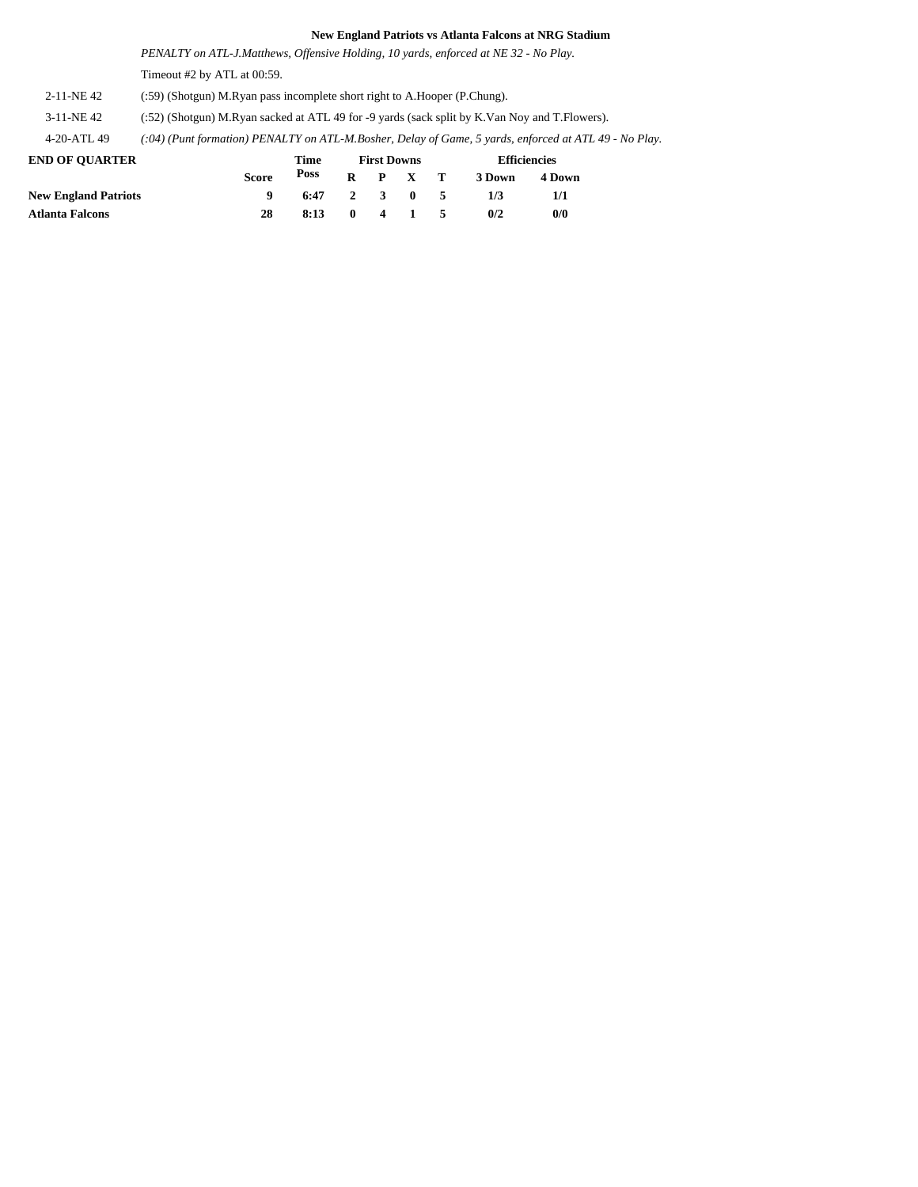*PENALTY on ATL-J.Matthews, Offensive Holding, 10 yards, enforced at NE 32 - No Play.* Timeout #2 by ATL at 00:59.

2-11-NE 42 (:59) (Shotgun) M.Ryan pass incomplete short right to A.Hooper (P.Chung).

3-11-NE 42 (:52) (Shotgun) M.Ryan sacked at ATL 49 for -9 yards (sack split by K.Van Noy and T.Flowers).

4-20-ATL 49 *(:04) (Punt formation) PENALTY on ATL-M.Bosher, Delay of Game, 5 yards, enforced at ATL 49 - No Play.*

| <b>END OF OUARTER</b>       |       | Time | <b>First Downs</b> |  |                 |    | <b>Efficiencies</b> |        |  |
|-----------------------------|-------|------|--------------------|--|-----------------|----|---------------------|--------|--|
|                             | Score | Poss |                    |  | $R$ $P$ $X$ $T$ |    | 3 Down              | 4 Down |  |
| <b>New England Patriots</b> |       | 6:47 |                    |  | 2 3 0 5         |    | 1/3                 | 1/1    |  |
| Atlanta Falcons             | 28    | 8:13 | $\mathbf{0}$       |  | 4 1             | -5 | 0/2                 | 0/0    |  |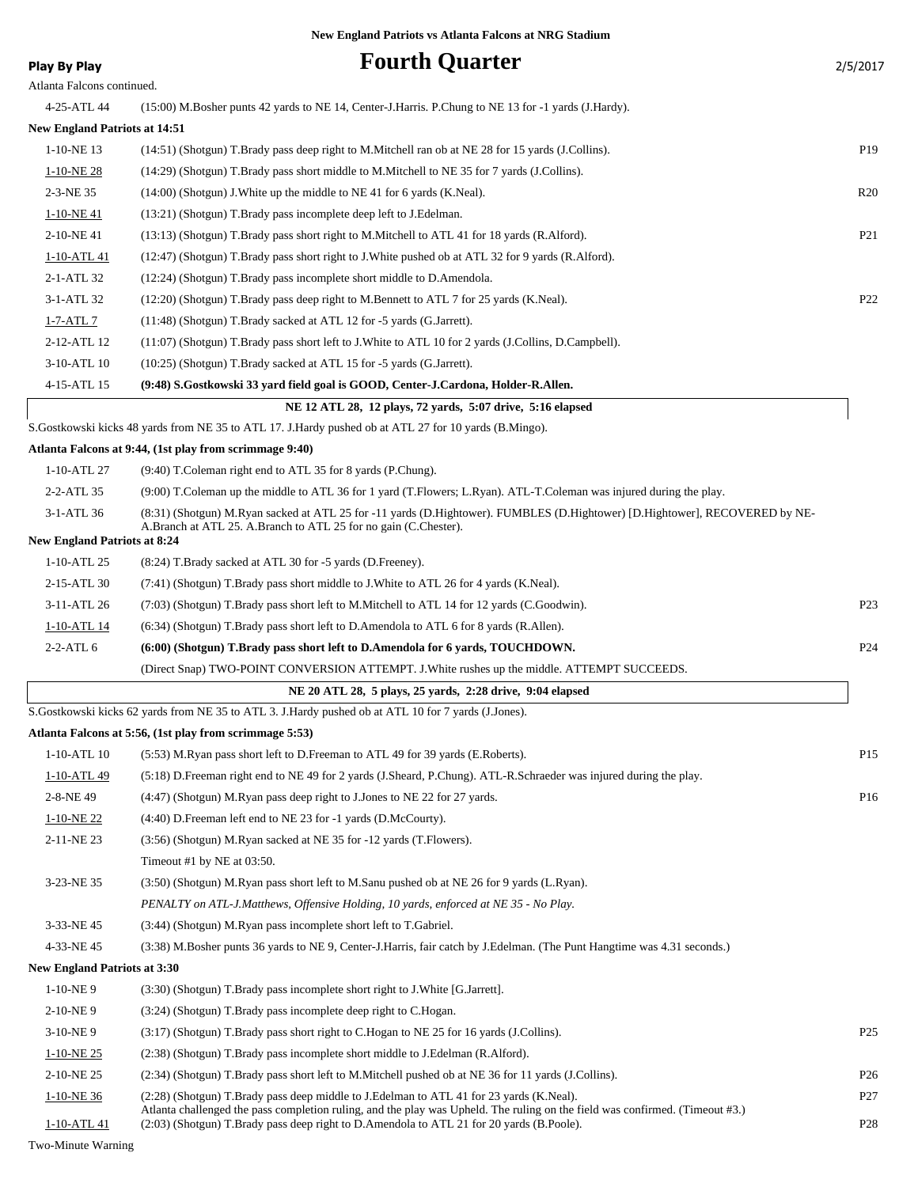| <b>Play By Play</b>                  | <b>Fourth Quarter</b>                                                                                                                                                                                                   | 2/5/2017        |
|--------------------------------------|-------------------------------------------------------------------------------------------------------------------------------------------------------------------------------------------------------------------------|-----------------|
| Atlanta Falcons continued.           |                                                                                                                                                                                                                         |                 |
| 4-25-ATL 44                          | (15:00) M.Bosher punts 42 yards to NE 14, Center-J.Harris. P.Chung to NE 13 for -1 yards (J.Hardy).                                                                                                                     |                 |
| <b>New England Patriots at 14:51</b> |                                                                                                                                                                                                                         |                 |
| $1-10-NE$ 13                         | (14:51) (Shotgun) T.Brady pass deep right to M.Mitchell ran ob at NE 28 for 15 yards (J.Collins).                                                                                                                       | P19             |
| 1-10-NE 28                           | (14:29) (Shotgun) T.Brady pass short middle to M.Mitchell to NE 35 for 7 yards (J.Collins).                                                                                                                             |                 |
| 2-3-NE 35                            | (14:00) (Shotgun) J. White up the middle to NE 41 for 6 yards (K. Neal).                                                                                                                                                | R20             |
| $1-10-NE$ 41                         | (13:21) (Shotgun) T.Brady pass incomplete deep left to J.Edelman.                                                                                                                                                       |                 |
| 2-10-NE41                            | (13:13) (Shotgun) T.Brady pass short right to M.Mitchell to ATL 41 for 18 yards (R.Alford).                                                                                                                             | P <sub>21</sub> |
| 1-10-ATL 41                          | (12:47) (Shotgun) T.Brady pass short right to J.White pushed ob at ATL 32 for 9 yards (R.Alford).                                                                                                                       |                 |
| 2-1-ATL 32                           | (12:24) (Shotgun) T.Brady pass incomplete short middle to D.Amendola.                                                                                                                                                   |                 |
| 3-1-ATL 32                           | (12:20) (Shotgun) T.Brady pass deep right to M.Bennett to ATL 7 for 25 yards (K.Neal).                                                                                                                                  | P <sub>22</sub> |
| 1-7-ATL 7                            | (11:48) (Shotgun) T.Brady sacked at ATL 12 for -5 yards (G.Jarrett).                                                                                                                                                    |                 |
| 2-12-ATL 12                          | (11:07) (Shotgun) T.Brady pass short left to J.White to ATL 10 for 2 yards (J.Collins, D.Campbell).                                                                                                                     |                 |
| 3-10-ATL 10                          | (10:25) (Shotgun) T.Brady sacked at ATL 15 for -5 yards (G.Jarrett).                                                                                                                                                    |                 |
| 4-15-ATL 15                          | (9:48) S.Gostkowski 33 yard field goal is GOOD, Center-J.Cardona, Holder-R.Allen.                                                                                                                                       |                 |
|                                      | NE 12 ATL 28, 12 plays, 72 yards, 5:07 drive, 5:16 elapsed                                                                                                                                                              |                 |
|                                      | S. Gostkowski kicks 48 yards from NE 35 to ATL 17. J. Hardy pushed ob at ATL 27 for 10 yards (B. Mingo).                                                                                                                |                 |
|                                      | Atlanta Falcons at 9:44, (1st play from scrimmage 9:40)                                                                                                                                                                 |                 |
| 1-10-ATL 27                          | (9:40) T.Coleman right end to ATL 35 for 8 yards (P.Chung).                                                                                                                                                             |                 |
| 2-2-ATL 35                           | (9:00) T.Coleman up the middle to ATL 36 for 1 yard (T.Flowers; L.Ryan). ATL-T.Coleman was injured during the play.                                                                                                     |                 |
| 3-1-ATL 36                           | (8:31) (Shotgun) M.Ryan sacked at ATL 25 for -11 yards (D.Hightower). FUMBLES (D.Hightower) [D.Hightower], RECOVERED by NE-<br>A.Branch at ATL 25. A.Branch to ATL 25 for no gain (C.Chester).                          |                 |
| <b>New England Patriots at 8:24</b>  |                                                                                                                                                                                                                         |                 |
| 1-10-ATL 25                          | (8:24) T.Brady sacked at ATL 30 for -5 yards (D.Freeney).                                                                                                                                                               |                 |
| 2-15-ATL 30                          | (7:41) (Shotgun) T.Brady pass short middle to J.White to ATL 26 for 4 yards (K.Neal).                                                                                                                                   |                 |
| 3-11-ATL 26                          | (7:03) (Shotgun) T.Brady pass short left to M.Mitchell to ATL 14 for 12 yards (C.Goodwin).                                                                                                                              | P <sub>23</sub> |
| 1-10-ATL 14                          | (6:34) (Shotgun) T.Brady pass short left to D.Amendola to ATL 6 for 8 yards (R.Allen).                                                                                                                                  |                 |
| $2-2-ATL$ 6                          | (6:00) (Shotgun) T.Brady pass short left to D.Amendola for 6 yards, TOUCHDOWN.                                                                                                                                          | P <sub>24</sub> |
|                                      | (Direct Snap) TWO-POINT CONVERSION ATTEMPT. J. White rushes up the middle. ATTEMPT SUCCEEDS.                                                                                                                            |                 |
|                                      | NE 20 ATL 28, 5 plays, 25 yards, 2:28 drive, 9:04 elapsed                                                                                                                                                               |                 |
|                                      | S. Gostkowski kicks 62 yards from NE 35 to ATL 3. J. Hardy pushed ob at ATL 10 for 7 yards (J. Jones).                                                                                                                  |                 |
|                                      | Atlanta Falcons at 5:56, (1st play from scrimmage 5:53)                                                                                                                                                                 |                 |
| $1-10-ATL$ 10                        | (5:53) M.Ryan pass short left to D.Freeman to ATL 49 for 39 yards (E.Roberts).                                                                                                                                          | P <sub>15</sub> |
| 1-10-ATL 49                          | (5:18) D.Freeman right end to NE 49 for 2 yards (J.Sheard, P.Chung). ATL-R.Schraeder was injured during the play.                                                                                                       |                 |
| 2-8-NE 49                            | (4:47) (Shotgun) M.Ryan pass deep right to J.Jones to NE 22 for 27 yards.                                                                                                                                               | P <sub>16</sub> |
| $1-10-NE$ 22                         | (4:40) D. Freeman left end to NE 23 for -1 yards (D. McCourty).                                                                                                                                                         |                 |
| 2-11-NE 23                           | (3:56) (Shotgun) M.Ryan sacked at NE 35 for -12 yards (T.Flowers).                                                                                                                                                      |                 |
|                                      | Timeout #1 by NE at 03:50.                                                                                                                                                                                              |                 |
| 3-23-NE 35                           | (3:50) (Shotgun) M.Ryan pass short left to M.Sanu pushed ob at NE 26 for 9 yards (L.Ryan).                                                                                                                              |                 |
|                                      | PENALTY on ATL-J.Matthews, Offensive Holding, 10 yards, enforced at NE 35 - No Play.                                                                                                                                    |                 |
| 3-33-NE45                            | (3:44) (Shotgun) M.Ryan pass incomplete short left to T.Gabriel.                                                                                                                                                        |                 |
| 4-33-NE45                            | (3:38) M.Bosher punts 36 yards to NE 9, Center-J.Harris, fair catch by J.Edelman. (The Punt Hangtime was 4.31 seconds.)                                                                                                 |                 |
| <b>New England Patriots at 3:30</b>  |                                                                                                                                                                                                                         |                 |
| $1-10-NE$ 9                          | (3:30) (Shotgun) T.Brady pass incomplete short right to J.White [G.Jarrett].                                                                                                                                            |                 |
| 2-10-NE9                             | (3:24) (Shotgun) T.Brady pass incomplete deep right to C.Hogan.                                                                                                                                                         |                 |
| $3-10-NE$ 9                          | (3:17) (Shotgun) T.Brady pass short right to C.Hogan to NE 25 for 16 yards (J.Collins).                                                                                                                                 | P <sub>25</sub> |
| $1-10-NE$ 25                         | (2:38) (Shotgun) T.Brady pass incomplete short middle to J.Edelman (R.Alford).                                                                                                                                          |                 |
| $2-10$ -NE $25\,$                    | (2:34) (Shotgun) T.Brady pass short left to M.Mitchell pushed ob at NE 36 for 11 yards (J.Collins).                                                                                                                     | P <sub>26</sub> |
| 1-10-NE 36                           | (2:28) (Shotgun) T.Brady pass deep middle to J.Edelman to ATL 41 for 23 yards (K.Neal).<br>Atlanta challenged the pass completion ruling, and the play was Upheld. The ruling on the field was confirmed. (Timeout #3.) | P27             |

1-10-ATL 41 (2:03) (Shotgun) T.Brady pass deep right to D.Amendola to ATL 21 for 20 yards (B.Poole). P28

Two-Minute Warning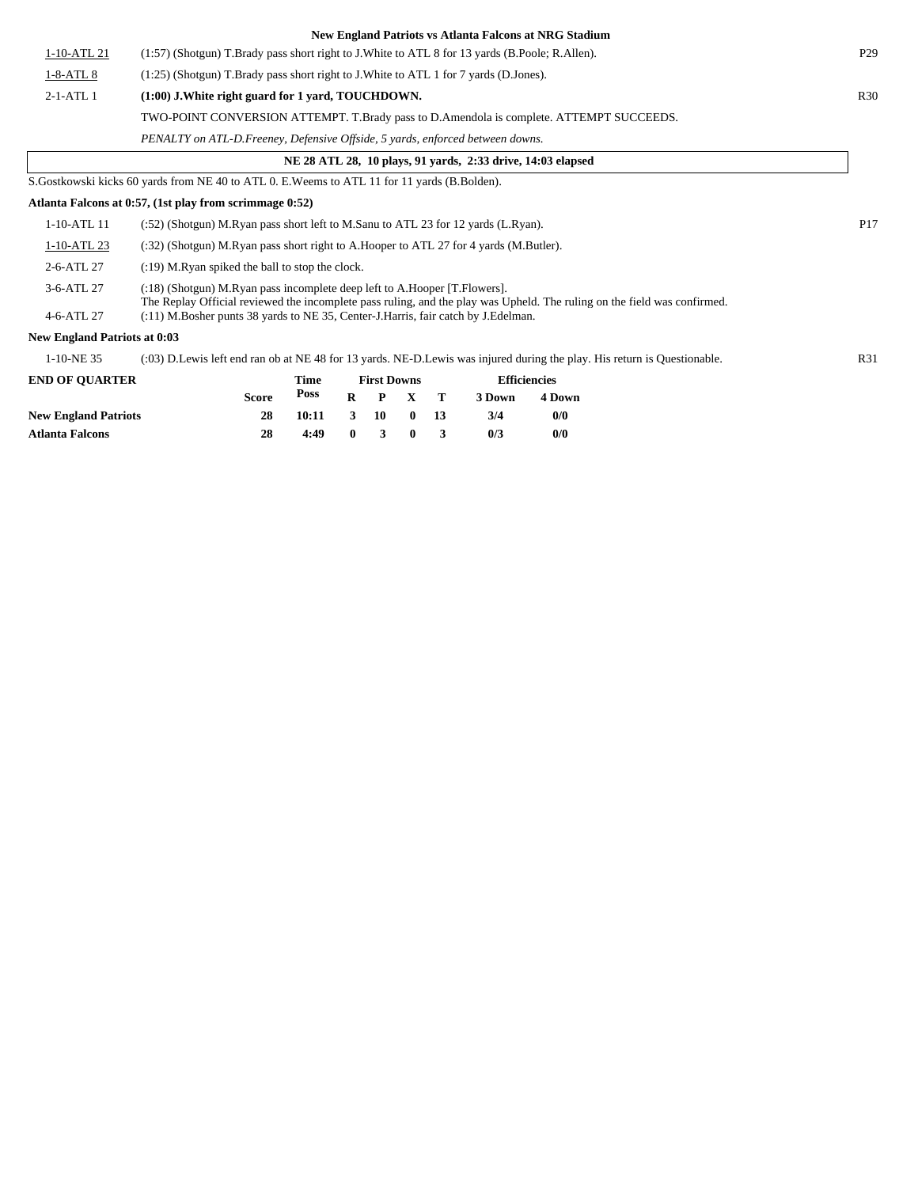|                                     | New England Patriots vs Atlanta Falcons at NRG Stadium                                                                                                                                                |                 |
|-------------------------------------|-------------------------------------------------------------------------------------------------------------------------------------------------------------------------------------------------------|-----------------|
| 1-10-ATL 21                         | (1:57) (Shotgun) T.Brady pass short right to J.White to ATL 8 for 13 yards (B.Poole; R.Allen).                                                                                                        | P <sub>29</sub> |
| $1-8-ATL8$                          | $(1:25)$ (Shotgun) T.Brady pass short right to J.White to ATL 1 for 7 yards (D.Jones).                                                                                                                |                 |
| $2-1-ATL$ 1                         | (1:00) J. White right guard for 1 yard, TOUCHDOWN.                                                                                                                                                    | <b>R30</b>      |
|                                     | TWO-POINT CONVERSION ATTEMPT. T.Brady pass to D.Amendola is complete. ATTEMPT SUCCEEDS.                                                                                                               |                 |
|                                     | PENALTY on ATL-D.Freeney, Defensive Offside, 5 yards, enforced between downs.                                                                                                                         |                 |
|                                     | NE 28 ATL 28, 10 plays, 91 yards, 2:33 drive, 14:03 elapsed                                                                                                                                           |                 |
|                                     | S. Gostkowski kicks 60 yards from NE 40 to ATL 0. E. Weems to ATL 11 for 11 yards (B. Bolden).                                                                                                        |                 |
|                                     | Atlanta Falcons at 0:57, (1st play from scrimmage 0:52)                                                                                                                                               |                 |
| 1-10-ATL 11                         | $(352)$ (Shotgun) M.Ryan pass short left to M.Sanu to ATL 23 for 12 yards (L.Ryan).                                                                                                                   | P <sub>17</sub> |
| 1-10-ATL 23                         | (:32) (Shotgun) M.Ryan pass short right to A.Hooper to ATL 27 for 4 yards (M.Butler).                                                                                                                 |                 |
| 2-6-ATL 27                          | (:19) M.Ryan spiked the ball to stop the clock.                                                                                                                                                       |                 |
| 3-6-ATL 27                          | (:18) (Shotgun) M.Ryan pass incomplete deep left to A.Hooper [T.Flowers].<br>The Replay Official reviewed the incomplete pass ruling, and the play was Upheld. The ruling on the field was confirmed. |                 |
| 4-6-ATL 27                          | $(11)$ M.Bosher punts 38 yards to NE 35, Center-J.Harris, fair catch by J.Edelman.                                                                                                                    |                 |
| <b>New England Patriots at 0:03</b> |                                                                                                                                                                                                       |                 |
| 1-10-NE 35                          | (:03) D.Lewis left end ran ob at NE 48 for 13 yards. NE-D.Lewis was injured during the play. His return is Questionable.                                                                              | R31             |
| <b>END OF QUARTER</b>               | <b>Efficiencies</b><br>Time<br><b>First Downs</b>                                                                                                                                                     |                 |
|                                     | Poss<br><b>Score</b><br>R<br>$\mathbf{P}$<br>$\mathbf{X}$<br>т<br>3 Down<br>4 Down                                                                                                                    |                 |

|                             | <b>Score</b> | Poss              | $R$ $P$ $X$ $T$             |  | 3 Down | 4 Dow |
|-----------------------------|--------------|-------------------|-----------------------------|--|--------|-------|
| <b>New England Patriots</b> | 28           | $10:11$ 3 10 0 13 |                             |  | 3/4    | 0/0   |
| Atlanta Falcons             | 28           | 4:49              | $0 \quad 3 \quad 0 \quad 3$ |  | 0/3    | 0/0   |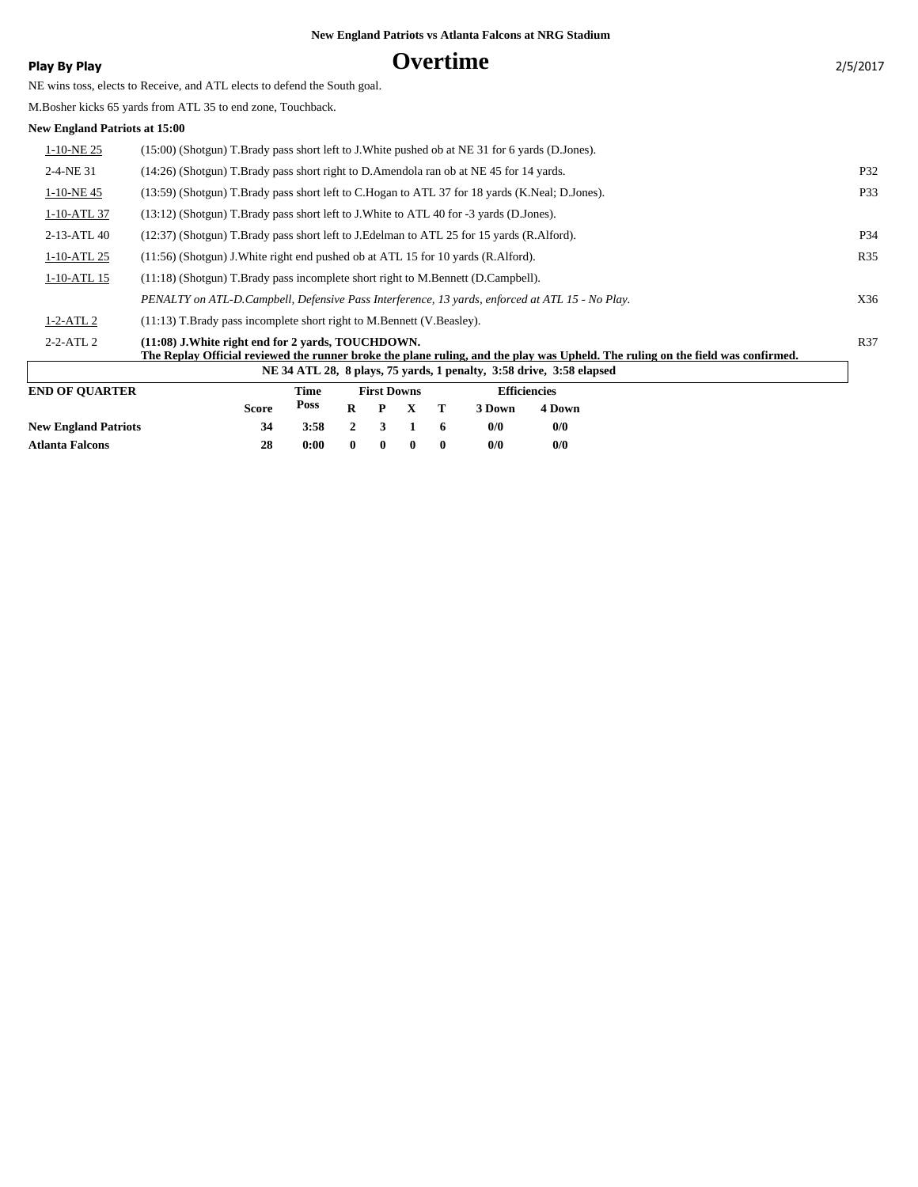### **Play By Play** 2/5/2017

NE wins toss, elects to Receive, and ATL elects to defend the South goal.

M.Bosher kicks 65 yards from ATL 35 to end zone, Touchback.

#### **New England Patriots at 15:00**

| <b>END OF OUARTER</b> | <b>First Downs</b><br><b>Efficiencies</b><br>Time                                                                                                                                     |     |
|-----------------------|---------------------------------------------------------------------------------------------------------------------------------------------------------------------------------------|-----|
|                       | NE 34 ATL 28, 8 plays, 75 yards, 1 penalty, 3:58 drive, 3:58 elapsed                                                                                                                  |     |
| $2 - 2 - ATL2$        | (11:08) J. White right end for 2 vards, TOUCHDOWN.<br>The Replay Official reviewed the runner broke the plane ruling, and the play was Upheld. The ruling on the field was confirmed. | R37 |
| $1-2-ATL2$            | $(11:13)$ T.Brady pass incomplete short right to M.Bennett (V.Beasley).                                                                                                               |     |
|                       | PENALTY on ATL-D.Campbell, Defensive Pass Interference, 13 yards, enforced at ATL 15 - No Play.                                                                                       | X36 |
| $1-10-ATL$ 15         | (11:18) (Shotgun) T.Brady pass incomplete short right to M.Bennett (D.Campbell).                                                                                                      |     |
| $1-10-ATL$ 25         | $(11:56)$ (Shotgun) J. White right end pushed ob at ATL 15 for 10 yards (R. Alford).                                                                                                  | R35 |
| 2-13-ATL 40           | (12:37) (Shotgun) T.Brady pass short left to J.Edelman to ATL 25 for 15 yards (R.Alford).                                                                                             | P34 |
| 1-10-ATL 37           | (13:12) (Shotgun) T.Brady pass short left to J.White to ATL 40 for -3 yards (D.Jones).                                                                                                |     |
| 1-10-NE45             | (13:59) (Shotgun) T.Brady pass short left to C.Hogan to ATL 37 for 18 yards (K.Neal; D.Jones).                                                                                        | P33 |
| 2-4-NE 31             | $(14:26)$ (Shotgun) T.Brady pass short right to D.Amendola ran ob at NE 45 for 14 yards.                                                                                              | P32 |
| $1-10-NE$ 25          | (15:00) (Shotgun) T.Brady pass short left to J.White pushed ob at NE 31 for 6 yards (D.Jones).                                                                                        |     |
| www.mathimatic.com    |                                                                                                                                                                                       |     |

|                             | <b>Score</b> | $\frac{\text{Poss}}{\text{R}}$ P X T |              |              |              |   | 3 Down | 4 Down |
|-----------------------------|--------------|--------------------------------------|--------------|--------------|--------------|---|--------|--------|
| <b>New England Patriots</b> | 34           | $3:58$ 2 3 1 6                       |              |              |              |   | 0/0    | 0/0    |
| Atlanta Falcons             | 28           | 0:00                                 | $\mathbf{0}$ | $\mathbf{0}$ | $\mathbf{0}$ | 0 | 0/0    | 0/0    |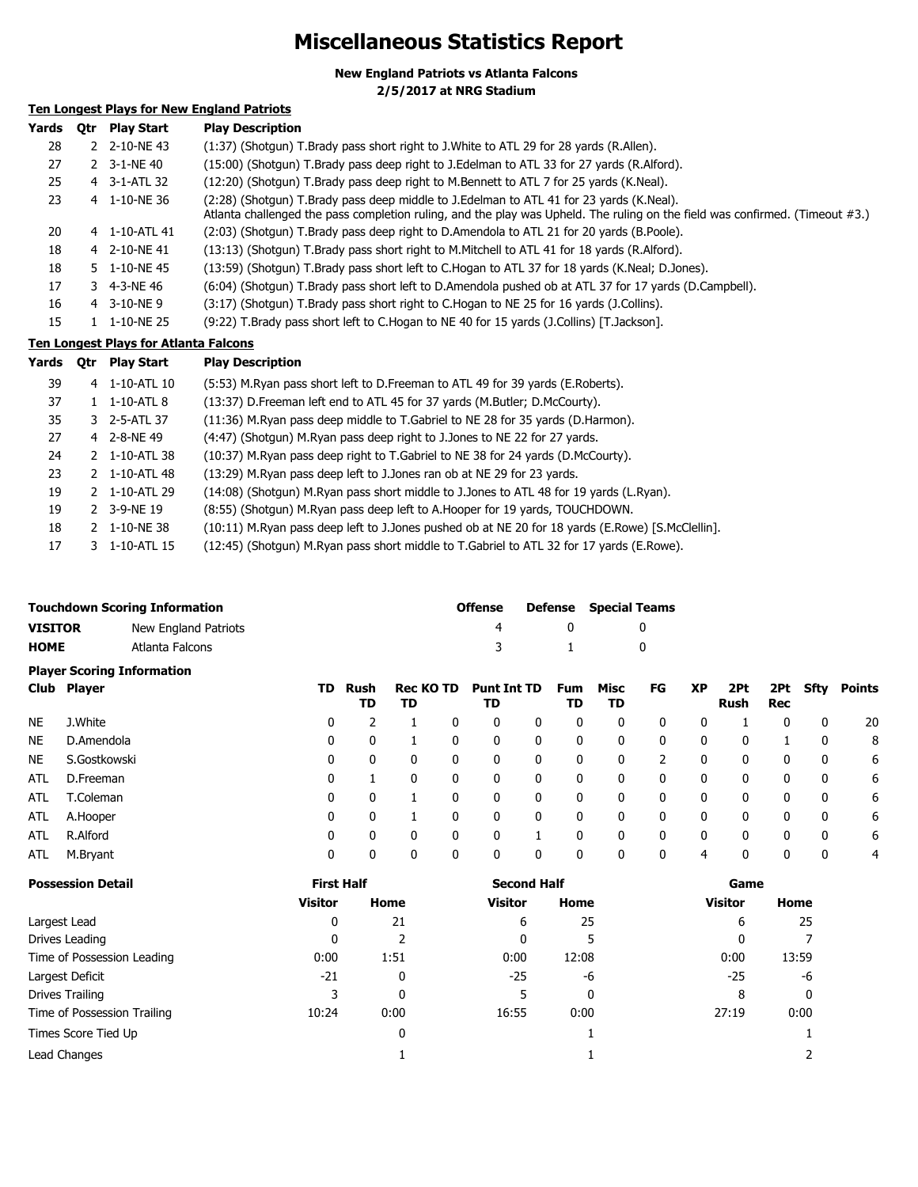# **Miscellaneous Statistics Report**

**New England Patriots vs Atlanta Falcons**

**2/5/2017 at NRG Stadium**

### **Ten Longest Plays for New England Patriots**

| Yards | 0tr | <b>Play Start</b> | <b>Play Description</b>                                                                                                                                                                                                 |
|-------|-----|-------------------|-------------------------------------------------------------------------------------------------------------------------------------------------------------------------------------------------------------------------|
| 28    |     | 2 2-10-NE43       | (1:37) (Shotgun) T.Brady pass short right to J.White to ATL 29 for 28 yards (R.Allen).                                                                                                                                  |
| 27    |     | 2 3-1-NE 40       | (15:00) (Shotgun) T.Brady pass deep right to J.Edelman to ATL 33 for 27 yards (R.Alford).                                                                                                                               |
| 25    |     | 4 3-1-ATL 32      | (12:20) (Shotgun) T.Brady pass deep right to M.Bennett to ATL 7 for 25 yards (K.Neal).                                                                                                                                  |
| 23    |     | 4 1-10-NE 36      | (2:28) (Shotqun) T.Brady pass deep middle to J.Edelman to ATL 41 for 23 yards (K.Neal).<br>Atlanta challenged the pass completion ruling, and the play was Upheld. The ruling on the field was confirmed. (Timeout #3.) |
| 20    |     | 4 1-10-ATL 41     | (2:03) (Shotgun) T.Brady pass deep right to D.Amendola to ATL 21 for 20 yards (B.Poole).                                                                                                                                |
| 18    |     | 4 2-10-NE 41      | (13:13) (Shotgun) T.Brady pass short right to M.Mitchell to ATL 41 for 18 yards (R.Alford).                                                                                                                             |
| 18    |     | 5 1-10-NE45       | (13:59) (Shotgun) T.Brady pass short left to C.Hogan to ATL 37 for 18 yards (K.Neal; D.Jones).                                                                                                                          |
| 17    |     | 3 4-3-NE 46       | (6:04) (Shotgun) T.Brady pass short left to D.Amendola pushed ob at ATL 37 for 17 yards (D.Campbell).                                                                                                                   |
| 16    |     | 4 3-10-NE9        | (3:17) (Shotqun) T.Brady pass short right to C.Hogan to NE 25 for 16 yards (J.Collins).                                                                                                                                 |
| 15    |     | 1 1-10-NE 25      | (9:22) T.Brady pass short left to C.Hogan to NE 40 for 15 yards (J.Collins) [T.Jackson].                                                                                                                                |

#### **Ten Longest Plays for Atlanta Falcons**

**Yards Qtr Play Start Play Description**

| 39 |    | 4 1-10-ATL 10 | (5:53) M.Ryan pass short left to D.Freeman to ATL 49 for 39 yards (E.Roberts).                   |
|----|----|---------------|--------------------------------------------------------------------------------------------------|
| 37 |    | 1 1-10-ATL 8  | (13:37) D. Freeman left end to ATL 45 for 37 yards (M. Butler; D. McCourty).                     |
| 35 |    | 3 2-5-ATL 37  | (11:36) M.Ryan pass deep middle to T.Gabriel to NE 28 for 35 yards (D.Harmon).                   |
| 27 |    | 4 2-8-NE49    | (4:47) (Shotgun) M.Ryan pass deep right to J.Jones to NE 22 for 27 yards.                        |
| 24 |    | 2 1-10-ATL 38 | (10:37) M.Ryan pass deep right to T.Gabriel to NE 38 for 24 yards (D.McCourty).                  |
| 23 |    | 2 1-10-ATL 48 | (13:29) M.Ryan pass deep left to J.Jones ran ob at NE 29 for 23 yards.                           |
| 19 |    | 2 1-10-ATL 29 | (14:08) (Shotgun) M.Ryan pass short middle to J.Jones to ATL 48 for 19 yards (L.Ryan).           |
| 19 |    | 2 3-9-NE 19   | (8:55) (Shotgun) M.Ryan pass deep left to A.Hooper for 19 yards, TOUCHDOWN.                      |
| 18 |    | 2 1-10-NE 38  | (10:11) M.Ryan pass deep left to J.Jones pushed ob at NE 20 for 18 yards (E.Rowe) [S.McClellin]. |
| 17 | 3. | 1-10-ATL 15   | (12:45) (Shotgun) M.Ryan pass short middle to T.Gabriel to ATL 32 for 17 yards (E.Rowe).         |
|    |    |               |                                                                                                  |

|                | <b>Touchdown Scoring Information</b> | Offense |          | <b>Defense</b> Special Teams |  |  |
|----------------|--------------------------------------|---------|----------|------------------------------|--|--|
| <b>VISITOR</b> | New England Patriots                 |         |          |                              |  |  |
| <b>HOME</b>    | Atlanta Falcons                      | 3       | $\sim$ 1 |                              |  |  |
|                | <b>Player Scoring Information</b>    |         |          |                              |  |  |

|            | -<br>Club Player | TD. | Rush<br>TD | <b>Rec KO TD</b><br>TD |   | <b>Punt Int TD</b><br>TD |   | Fum<br>TD    | Misc<br>TD | FG           | <b>XP</b>    | 2Pt<br>Rush | 2Pt<br>Rec | Sfty         | Points |
|------------|------------------|-----|------------|------------------------|---|--------------------------|---|--------------|------------|--------------|--------------|-------------|------------|--------------|--------|
| <b>NE</b>  | J.White          | 0   |            |                        | 0 | 0                        | 0 | 0            | 0          | 0            | 0            |             | 0          | 0            | 20     |
| <b>NE</b>  | D.Amendola       | 0   | 0          |                        | 0 | 0                        | 0 | 0            | 0          | 0            | 0            | 0           |            | 0            | 8      |
| <b>NE</b>  | S.Gostkowski     | 0   | 0          |                        | 0 | 0                        | 0 | 0            | 0          |              | 0            |             | 0          | 0            | 6      |
| <b>ATL</b> | D.Freeman        | 0   |            | $\Omega$               | 0 | 0                        | 0 | $\mathbf{0}$ | 0          | 0            | $\mathbf{0}$ | 0           | 0          | $\mathbf{0}$ | 6      |
| ATL        | T.Coleman        | 0   | 0          |                        | 0 | 0                        | 0 | 0            | 0          | 0            | $\mathbf{0}$ | 0           | 0          | $\mathbf{0}$ | 6      |
| ATL        | A.Hooper         | 0   | 0          |                        | 0 | 0                        | 0 | 0            | 0          | 0            | 0            | $\Omega$    | 0          | $\mathbf{0}$ | 6      |
| <b>ATL</b> | R.Alford         | 0   | 0          |                        | 0 |                          |   |              | 0          | 0            | 0            |             | 0          | 0            | 6      |
| ATL        | M.Bryant         | 0   | 0          |                        | 0 | 0                        | 0 | 0            | 0          | $\mathbf{0}$ | 4            |             | 0          | 0            | 4      |

| <b>Possession Detail</b>    | <b>First Half</b> |      | <b>Second Half</b> |       | Game           |       |  |
|-----------------------------|-------------------|------|--------------------|-------|----------------|-------|--|
|                             | <b>Visitor</b>    | Home | Visitor            | Home  | <b>Visitor</b> | Home  |  |
| Largest Lead                | 0                 | 21   | 6                  | 25    | 6              | 25    |  |
| Drives Leading              | 0                 |      | 0                  |       | 0              |       |  |
| Time of Possession Leading  | 0:00              | 1:51 | 0:00               | 12:08 | 0:00           | 13:59 |  |
| Largest Deficit             | $-21$             | 0    | $-25$              | -6    | $-25$          | -6    |  |
| Drives Trailing             | 3                 | 0    |                    | 0     | 8              | 0     |  |
| Time of Possession Trailing | 10:24             | 0:00 | 16:55              | 0:00  | 27:19          | 0:00  |  |
| Times Score Tied Up         |                   | 0    |                    |       |                |       |  |
| Lead Changes                |                   |      |                    |       |                |       |  |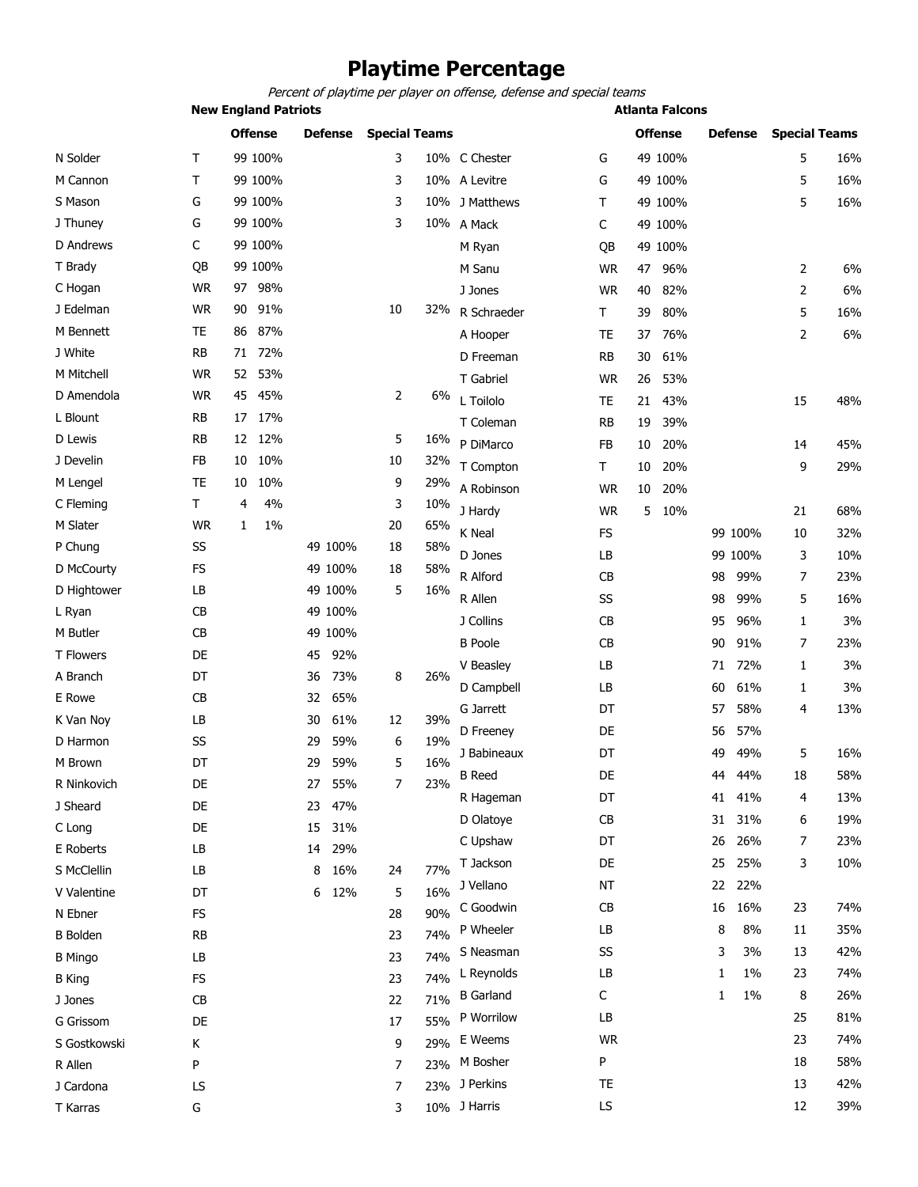# **Playtime Percentage**

**New England Patriots Atlanta Falcons** *Percent of playtime per player on offense, defense and special teams*

|                  |           | <b>Offense</b> | <b>Defense</b> | <b>Special Teams</b> |     |                         |           | <b>Offense</b> | <b>Defense</b> | <b>Special Teams</b> |     |
|------------------|-----------|----------------|----------------|----------------------|-----|-------------------------|-----------|----------------|----------------|----------------------|-----|
| N Solder         | Т         | 99 100%        |                | 3                    |     | 10% C Chester           | G         | 49 100%        |                | 5                    | 16% |
| M Cannon         | т         | 99 100%        |                | 3                    |     | 10% A Levitre           | G         | 49 100%        |                | 5                    | 16% |
| S Mason          | G         | 99 100%        |                | 3                    |     | 10% J Matthews          | Τ         | 49 100%        |                | 5                    | 16% |
| J Thuney         | G         | 99 100%        |                | 3                    |     | 10% A Mack              | С         | 49 100%        |                |                      |     |
| D Andrews        | C         | 99 100%        |                |                      |     | M Ryan                  | QB        | 49 100%        |                |                      |     |
| T Brady          | QB        | 99 100%        |                |                      |     | M Sanu                  | <b>WR</b> | 96%<br>47      |                | 2                    | 6%  |
| C Hogan          | <b>WR</b> | 98%<br>97      |                |                      |     | J Jones                 | <b>WR</b> | 82%<br>40      |                | 2                    | 6%  |
| J Edelman        | <b>WR</b> | 91%<br>90      |                | 10                   |     | 32% R Schraeder         | Τ         | 39<br>80%      |                | 5                    | 16% |
| M Bennett        | TE        | 86 87%         |                |                      |     | A Hooper                | TE        | 76%<br>37      |                | 2                    | 6%  |
| J White          | <b>RB</b> | 71 72%         |                |                      |     | D Freeman               | RB        | 61%<br>30      |                |                      |     |
| M Mitchell       | <b>WR</b> | 52 53%         |                |                      |     | T Gabriel               | <b>WR</b> | 53%<br>26      |                |                      |     |
| D Amendola       | <b>WR</b> | 45<br>45%      |                | 2                    | 6%  | L Toilolo               | TE        | 43%<br>21      |                | 15                   | 48% |
| L Blount         | RB        | 17%<br>17      |                |                      |     | T Coleman               | <b>RB</b> | 19<br>39%      |                |                      |     |
| D Lewis          | RB        | 12 12%         |                | 5                    | 16% | P DiMarco               | FB        | 20%<br>10      |                | 14                   | 45% |
| J Develin        | <b>FB</b> | 10%<br>10      |                | 10                   | 32% | T Compton               | Τ         | 20%<br>10      |                | 9                    | 29% |
| M Lengel         | TE        | 10%<br>10      |                | 9                    | 29% | A Robinson              | <b>WR</b> | 10<br>20%      |                |                      |     |
| C Fleming        | Τ         | 4%<br>4        |                | 3                    | 10% | J Hardy                 | <b>WR</b> | 5 10%          |                | 21                   | 68% |
| M Slater         | <b>WR</b> | 1%<br>1        |                | 20                   | 65% | K Neal                  | FS        |                | 99 100%        | 10                   | 32% |
| P Chung          | SS        |                | 49 100%        | 18                   | 58% | D Jones                 | LB        |                | 99 100%        | 3                    | 10% |
| D McCourty       | <b>FS</b> |                | 49 100%        | 18                   | 58% | R Alford                | CB        |                | 99%<br>98      | 7                    | 23% |
| D Hightower      | LB        |                | 49 100%        | 5                    | 16% | R Allen                 | SS        |                | 99%<br>98      | 5                    | 16% |
| L Ryan           | <b>CB</b> |                | 49 100%        |                      |     | J Collins               | CB        |                | 96%<br>95      | 1                    | 3%  |
| M Butler         | CB        |                | 49 100%        |                      |     | <b>B</b> Poole          | CB        |                | 91%<br>90      | 7                    | 23% |
| <b>T Flowers</b> | DE        |                | 92%<br>45      |                      |     | V Beasley               | LB        |                | 72%<br>71      | 1                    | 3%  |
| A Branch         | DT        |                | 73%<br>36      | 8                    | 26% |                         | LB        |                | 61%<br>60      | 1                    | 3%  |
| E Rowe           | CB        |                | 65%<br>32      |                      |     | D Campbell<br>G Jarrett | DT        |                | 58%            | 4                    | 13% |
| K Van Noy        | LB        |                | 61%<br>30      | 12                   | 39% | D Freeney               | DE        |                | 57<br>57%      |                      |     |
| D Harmon         | SS        |                | 59%<br>29      | 6                    | 19% |                         |           |                | 56             |                      |     |
| M Brown          | DT        |                | 59%<br>29      | 5                    | 16% | J Babineaux             | DT        |                | 49%<br>49      | 5                    | 16% |
| R Ninkovich      | DE        |                | 55%<br>27      | $\overline{7}$       | 23% | B Reed                  | DE        |                | 44%<br>44      | 18                   | 58% |
| J Sheard         | DE        |                | 47%<br>23      |                      |     | R Hageman               | DT        |                | 41<br>41%      | 4                    | 13% |
| C Long           | DE        |                | 15<br>31%      |                      |     | D Olatoye               | CB        |                | 31%<br>31      | 6                    | 19% |
| E Roberts        | LB        |                | 29%<br>14      |                      |     | C Upshaw                | DT        |                | 26%<br>26      | 7                    | 23% |
| S McClellin      | LB        |                | 16%<br>8       | 24                   | 77% | T Jackson               | DE        |                | 25%<br>25      | 3                    | 10% |
| V Valentine      | DT        |                | 12%<br>6       | 5                    | 16% | J Vellano               | NT        |                | 22%<br>22      |                      |     |
| N Ebner          | FS        |                |                | 28                   | 90% | C Goodwin               | <b>CB</b> |                | 16%<br>16      | 23                   | 74% |
| <b>B</b> Bolden  | <b>RB</b> |                |                | 23                   | 74% | P Wheeler               | LB        |                | 8%<br>8        | 11                   | 35% |
| <b>B</b> Mingo   | LB        |                |                | 23                   | 74% | S Neasman               | SS        |                | 3%<br>3        | 13                   | 42% |
| <b>B</b> King    | FS        |                |                | 23                   | 74% | L Reynolds              | LB        |                | 1%<br>1        | 23                   | 74% |
| J Jones          | CB        |                |                | 22                   | 71% | <b>B</b> Garland        | С         |                | 1%<br>1        | 8                    | 26% |
| G Grissom        | DE        |                |                | 17                   | 55% | P Worrilow              | LB        |                |                | 25                   | 81% |
| S Gostkowski     | Κ         |                |                | 9                    | 29% | E Weems                 | WR        |                |                | 23                   | 74% |
| R Allen          | P         |                |                | 7                    | 23% | M Bosher                | P         |                |                | 18                   | 58% |
| J Cardona        | LS        |                |                | 7                    |     | 23% J Perkins           | TE        |                |                | 13                   | 42% |

T Karras G 3 10% J Harris LS 12 39%